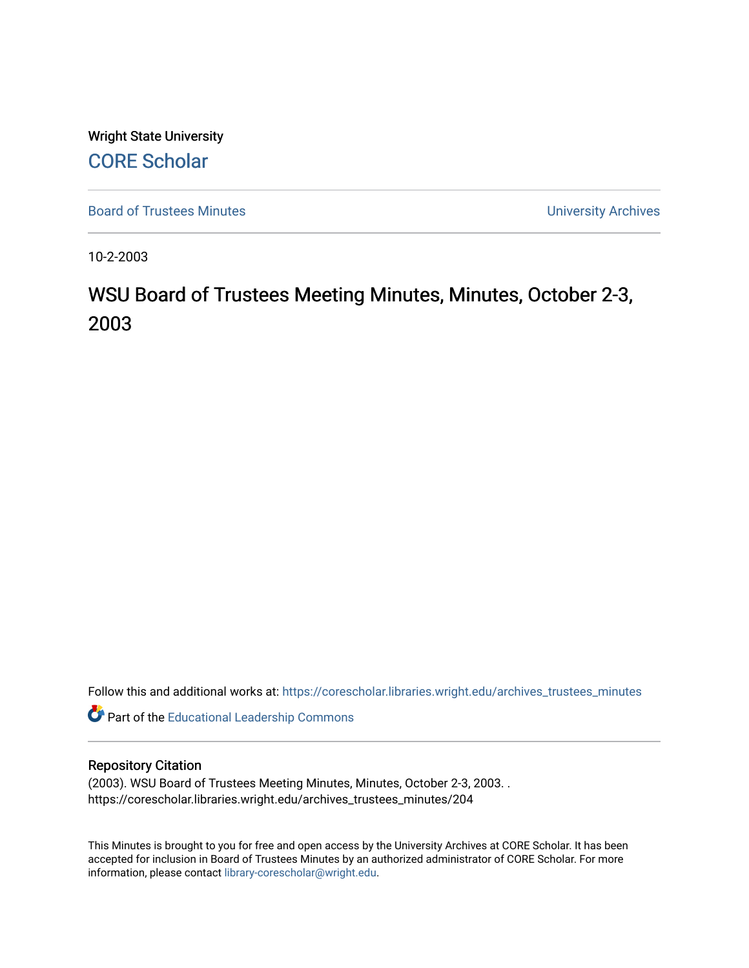Wright State University [CORE Scholar](https://corescholar.libraries.wright.edu/)

[Board of Trustees Minutes](https://corescholar.libraries.wright.edu/archives_trustees_minutes) **Exercise 2018** Solution 2018 10:30 Minutes University Archives

10-2-2003

# WSU Board of Trustees Meeting Minutes, Minutes, October 2-3, 2003

Follow this and additional works at: [https://corescholar.libraries.wright.edu/archives\\_trustees\\_minutes](https://corescholar.libraries.wright.edu/archives_trustees_minutes?utm_source=corescholar.libraries.wright.edu%2Farchives_trustees_minutes%2F204&utm_medium=PDF&utm_campaign=PDFCoverPages) 

Part of the [Educational Leadership Commons](http://network.bepress.com/hgg/discipline/1230?utm_source=corescholar.libraries.wright.edu%2Farchives_trustees_minutes%2F204&utm_medium=PDF&utm_campaign=PDFCoverPages) 

#### Repository Citation

(2003). WSU Board of Trustees Meeting Minutes, Minutes, October 2-3, 2003. . https://corescholar.libraries.wright.edu/archives\_trustees\_minutes/204

This Minutes is brought to you for free and open access by the University Archives at CORE Scholar. It has been accepted for inclusion in Board of Trustees Minutes by an authorized administrator of CORE Scholar. For more information, please contact [library-corescholar@wright.edu.](mailto:library-corescholar@wright.edu)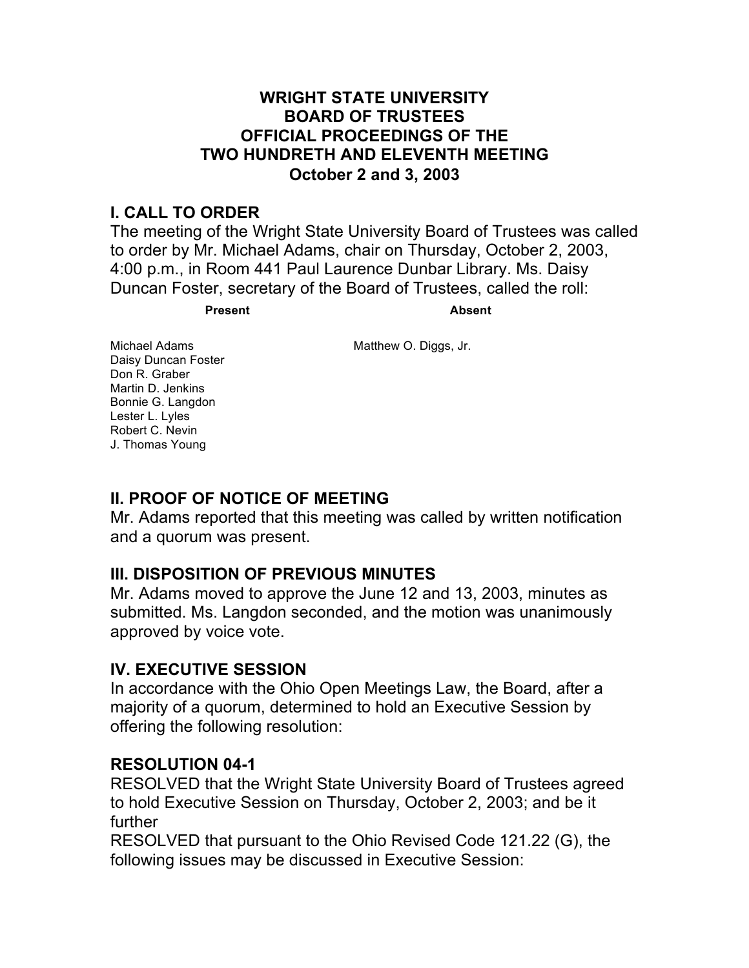#### **WRIGHT STATE UNIVERSITY October 2 and 3, 2003 BOARD OF TRUSTEES OFFICIAL PROCEEDINGS OF THE TWO HUNDRETH AND ELEVENTH MEETING**

#### **I. CALL TO ORDER**

 The meeting of the Wright State University Board of Trustees was called to order by Mr. Michael Adams, chair on Thursday, October 2, 2003, 4:00 p.m., in Room 441 Paul Laurence Dunbar Library. Ms. Daisy Duncan Foster, secretary of the Board of Trustees, called the roll:

Matthew O. Diggs, Jr.

#### **Present**

**Absent** 

Michael Adams Daisy Duncan Foster Don R. Graber Martin D. Jenkins Bonnie G. Langdon Lester L. Lyles Robert C. Nevin J. Thomas Young

#### **II. PROOF OF NOTICE OF MEETING**

 Mr. Adams reported that this meeting was called by written notification and a quorum was present.

#### **III. DISPOSITION OF PREVIOUS MINUTES**

 Mr. Adams moved to approve the June 12 and 13, 2003, minutes as submitted. Ms. Langdon seconded, and the motion was unanimously approved by voice vote.

#### **IV. EXECUTIVE SESSION**

 In accordance with the Ohio Open Meetings Law, the Board, after a majority of a quorum, determined to hold an Executive Session by offering the following resolution:

#### **RESOLUTION 04-1**

 RESOLVED that the Wright State University Board of Trustees agreed to hold Executive Session on Thursday, October 2, 2003; and be it further

 RESOLVED that pursuant to the Ohio Revised Code 121.22 (G), the following issues may be discussed in Executive Session: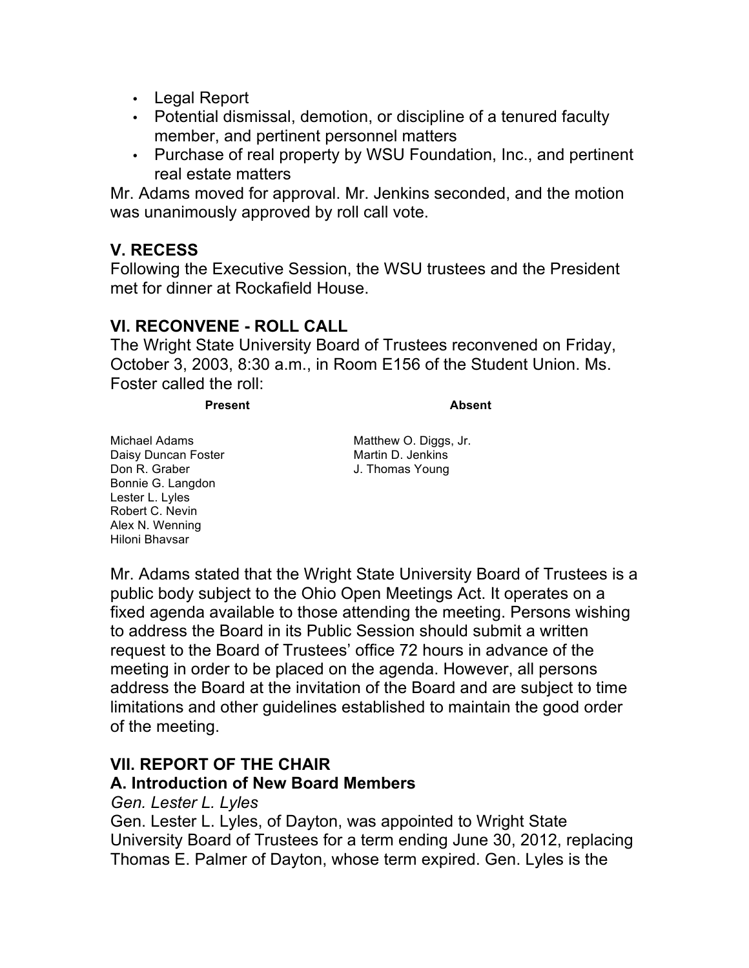- Legal Report
- • Potential dismissal, demotion, or discipline of a tenured faculty member, and pertinent personnel matters
- • Purchase of real property by WSU Foundation, Inc., and pertinent real estate matters

 Mr. Adams moved for approval. Mr. Jenkins seconded, and the motion was unanimously approved by roll call vote.

### **V. RECESS**

 Following the Executive Session, the WSU trustees and the President met for dinner at Rockafield House.

#### **VI. RECONVENE - ROLL CALL**

 October 3, 2003, 8:30 a.m., in Room E156 of the Student Union. Ms. The Wright State University Board of Trustees reconvened on Friday, Foster called the roll:

**Present Absent** 

Daisy Duncan Foster Martin D. Jenkins Don R. Graber Bonnie G. Langdon Lester L. Lyles Robert C. Nevin Alex N. Wenning Hiloni Bhavsar

Michael Adams **Matthew O. Diggs, Jr.** Martin D. Jenkins J. Thomas Young

 Mr. Adams stated that the Wright State University Board of Trustees is a public body subject to the Ohio Open Meetings Act. It operates on a meeting in order to be placed on the agenda. However, all persons fixed agenda available to those attending the meeting. Persons wishing to address the Board in its Public Session should submit a written request to the Board of Trustees' office 72 hours in advance of the address the Board at the invitation of the Board and are subject to time limitations and other guidelines established to maintain the good order of the meeting.

### **VII. REPORT OF THE CHAIR**

#### **A. Introduction of New Board Members**

#### *Gen. Lester L. Lyles*

 Gen. Lester L. Lyles, of Dayton, was appointed to Wright State University Board of Trustees for a term ending June 30, 2012, replacing Thomas E. Palmer of Dayton, whose term expired. Gen. Lyles is the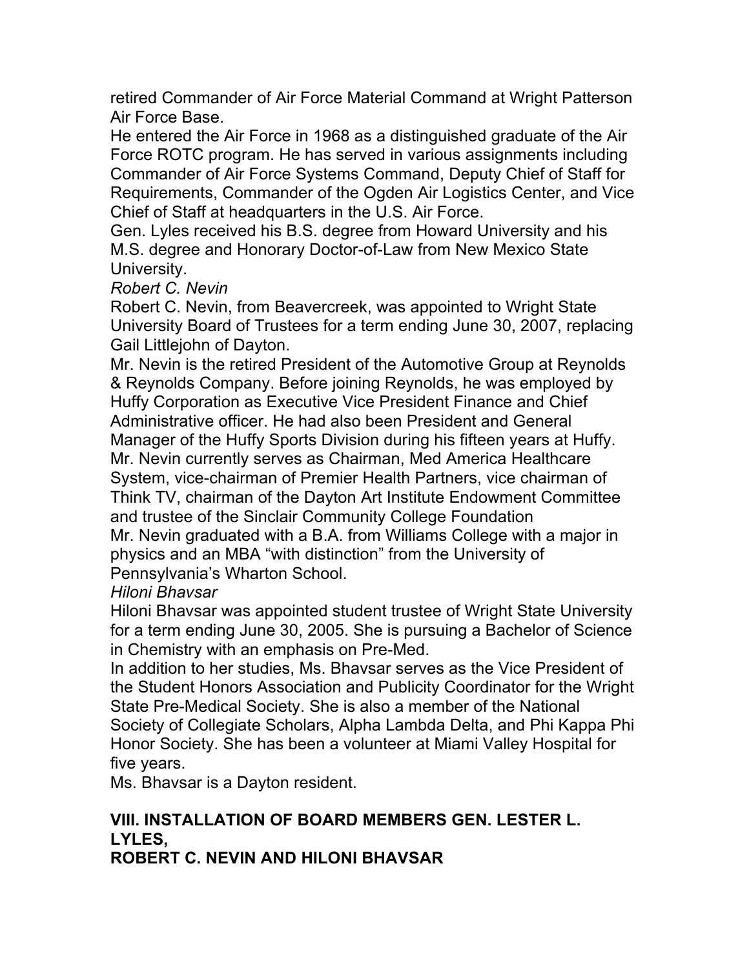retired Commander of Air Force Material Command at Wright Patterson Air Force Base.

 He entered the Air Force in 1968 as a distinguished graduate of the Air Force ROTC program. He has served in various assignments including Commander of Air Force Systems Command, Deputy Chief of Staff for Requirements, Commander of the Ogden Air Logistics Center, and Vice Chief of Staff at headquarters in the U.S. Air Force.

 M.S. degree and Honorary Doctor-of-Law from New Mexico State Gen. Lyles received his B.S. degree from Howard University and his University.

 *Robert C. Nevin* 

 Robert C. Nevin, from Beavercreek, was appointed to Wright State University Board of Trustees for a term ending June 30, 2007, replacing Gail Littlejohn of Dayton.

 Mr. Nevin is the retired President of the Automotive Group at Reynolds & Reynolds Company. Before joining Reynolds, he was employed by Huffy Corporation as Executive Vice President Finance and Chief Manager of the Huffy Sports Division during his fifteen years at Huffy. Mr. Nevin currently serves as Chairman, Med America Healthcare System, vice-chairman of Premier Health Partners, vice chairman of and trustee of the Sinclair Community College Foundation Mr. Nevin graduated with a B.A. from Williams College with a major in physics and an MBA "with distinction" from the University of Administrative officer. He had also been President and General Think TV, chairman of the Dayton Art Institute Endowment Committee Pennsylvania's Wharton School.

*Hiloni Bhavsar* 

 Hiloni Bhavsar was appointed student trustee of Wright State University for a term ending June 30, 2005. She is pursuing a Bachelor of Science in Chemistry with an emphasis on Pre-Med.

 State Pre-Medical Society. She is also a member of the National Society of Collegiate Scholars, Alpha Lambda Delta, and Phi Kappa Phi Honor Society. She has been a volunteer at Miami Valley Hospital for In addition to her studies, Ms. Bhavsar serves as the Vice President of the Student Honors Association and Publicity Coordinator for the Wright five years.

Ms. Bhavsar is a Dayton resident.

# LYLES. **VIII. INSTALLATION OF BOARD MEMBERS GEN. LESTER L.**

**LYLES, ROBERT C. NEVIN AND HILONI BHAVSAR**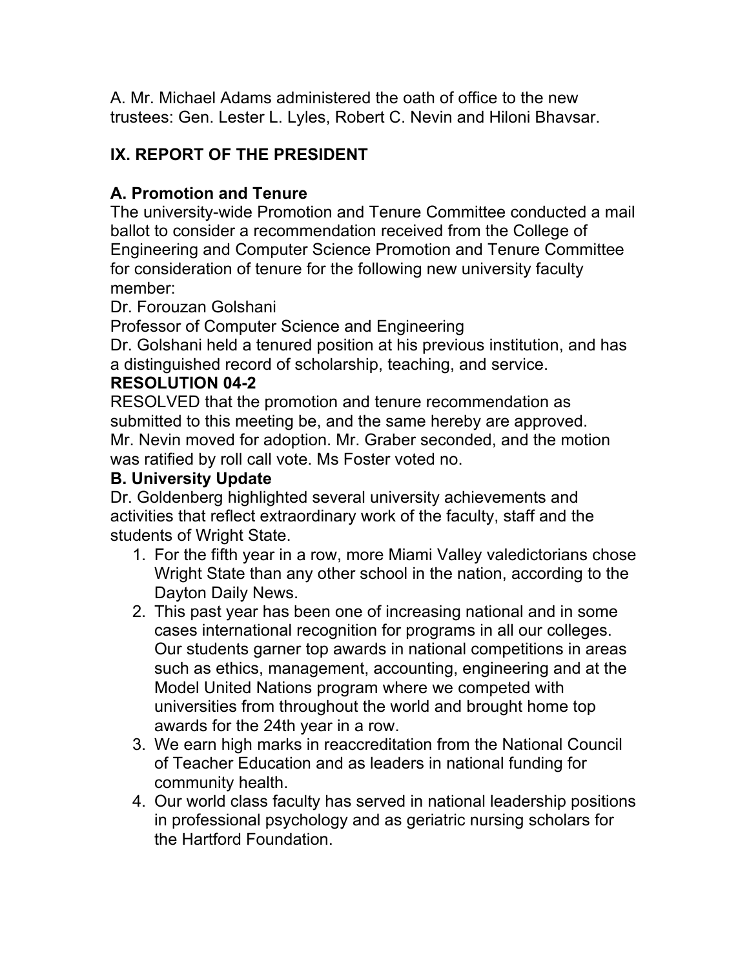A. Mr. Michael Adams administered the oath of office to the new trustees: Gen. Lester L. Lyles, Robert C. Nevin and Hiloni Bhavsar.

### **IX. REPORT OF THE PRESIDENT**

#### **A. Promotion and Tenure**

 The university-wide Promotion and Tenure Committee conducted a mail ballot to consider a recommendation received from the College of Engineering and Computer Science Promotion and Tenure Committee for consideration of tenure for the following new university faculty member:

Dr. Forouzan Golshani

Professor of Computer Science and Engineering

 Dr. Golshani held a tenured position at his previous institution, and has a distinguished record of scholarship, teaching, and service.

#### **RESOLUTION 04-2**

 RESOLVED that the promotion and tenure recommendation as Mr. Nevin moved for adoption. Mr. Graber seconded, and the motion was ratified by roll call vote. Ms Foster voted no. submitted to this meeting be, and the same hereby are approved.

#### **B. University Update**

 Dr. Goldenberg highlighted several university achievements and activities that reflect extraordinary work of the faculty, staff and the students of Wright State.

- 1. For the fifth year in a row, more Miami Valley valedictorians chose Wright State than any other school in the nation, according to the Dayton Daily News.
- 2. This past year has been one of increasing national and in some cases international recognition for programs in all our colleges. Our students garner top awards in national competitions in areas Model United Nations program where we competed with universities from throughout the world and brought home top such as ethics, management, accounting, engineering and at the awards for the 24th year in a row.
- 3. We earn high marks in reaccreditation from the National Council of Teacher Education and as leaders in national funding for community health.
- 4. Our world class faculty has served in national leadership positions in professional psychology and as geriatric nursing scholars for the Hartford Foundation.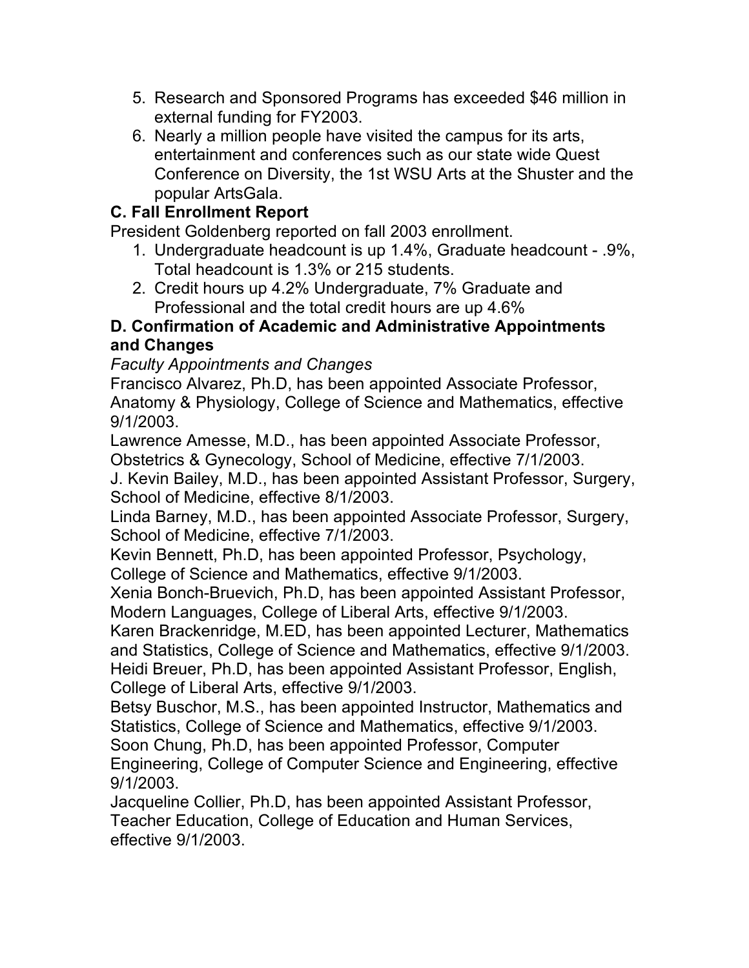- external funding for FY2003. 5. Research and Sponsored Programs has exceeded \$46 million in
- 6. Nearly a million people have visited the campus for its arts, Conference on Diversity, the 1st WSU Arts at the Shuster and the entertainment and conferences such as our state wide Quest popular ArtsGala.

### **C. Fall Enrollment Report**

President Goldenberg reported on fall 2003 enrollment.

- 1. Undergraduate headcount is up 1.4%, Graduate headcount .9%, Total headcount is 1.3% or 215 students.
- 2. Credit hours up 4.2% Undergraduate, 7% Graduate and Professional and the total credit hours are up 4.6%

#### **D. Confirmation of Academic and Administrative Appointments and Changes**

### *Faculty Appointments and Changes*

 Francisco Alvarez, Ph.D, has been appointed Associate Professor, Anatomy & Physiology, College of Science and Mathematics, effective 9/1/2003.

 Lawrence Amesse, M.D., has been appointed Associate Professor, Obstetrics & Gynecology, School of Medicine, effective 7/1/2003.

 J. Kevin Bailey, M.D., has been appointed Assistant Professor, Surgery, School of Medicine, effective 8/1/2003.

 Linda Barney, M.D., has been appointed Associate Professor, Surgery, School of Medicine, effective 7/1/2003.

 Kevin Bennett, Ph.D, has been appointed Professor, Psychology, College of Science and Mathematics, effective 9/1/2003.

 Xenia Bonch-Bruevich, Ph.D, has been appointed Assistant Professor, Modern Languages, College of Liberal Arts, effective 9/1/2003.

 Karen Brackenridge, M.ED, has been appointed Lecturer, Mathematics and Statistics, College of Science and Mathematics, effective 9/1/2003. Heidi Breuer, Ph.D, has been appointed Assistant Professor, English, College of Liberal Arts, effective 9/1/2003.

 Betsy Buschor, M.S., has been appointed Instructor, Mathematics and Statistics, College of Science and Mathematics, effective 9/1/2003.

Soon Chung, Ph.D, has been appointed Professor, Computer

 Engineering, College of Computer Science and Engineering, effective 9/1/2003.

 Jacqueline Collier, Ph.D, has been appointed Assistant Professor, Teacher Education, College of Education and Human Services, effective 9/1/2003.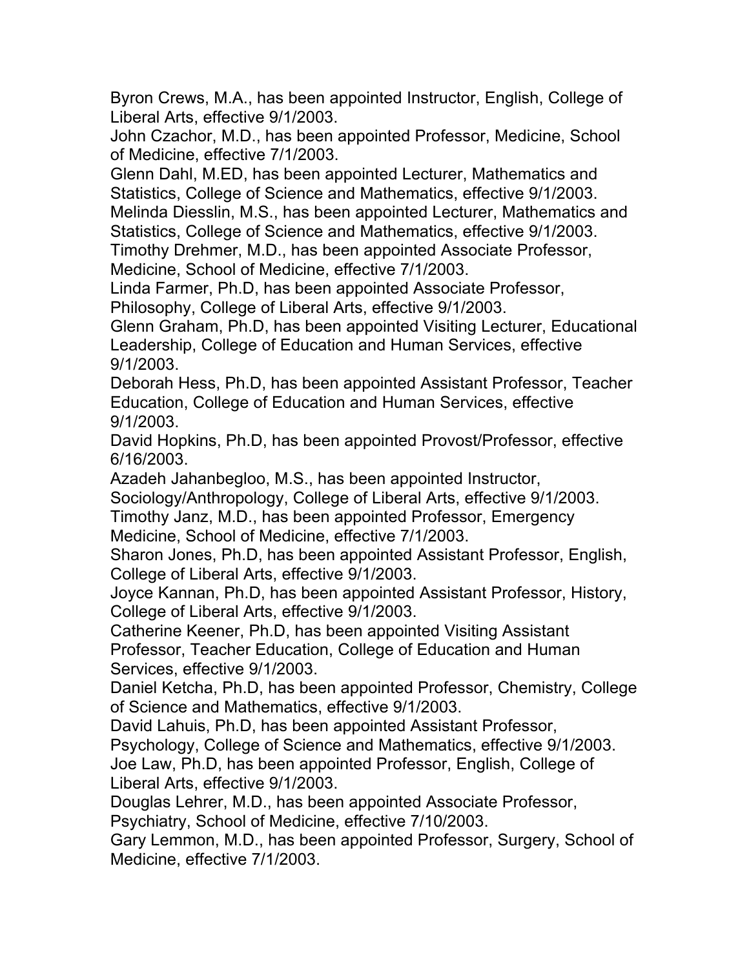Byron Crews, M.A., has been appointed Instructor, English, College of Liberal Arts, effective 9/1/2003.

 John Czachor, M.D., has been appointed Professor, Medicine, School of Medicine, effective 7/1/2003.

 Glenn Dahl, M.ED, has been appointed Lecturer, Mathematics and Statistics, College of Science and Mathematics, effective 9/1/2003. Melinda Diesslin, M.S., has been appointed Lecturer, Mathematics and

Statistics, College of Science and Mathematics, effective 9/1/2003.

 Timothy Drehmer, M.D., has been appointed Associate Professor, Medicine, School of Medicine, effective 7/1/2003.

 Linda Farmer, Ph.D, has been appointed Associate Professor, Philosophy, College of Liberal Arts, effective 9/1/2003.

 Glenn Graham, Ph.D, has been appointed Visiting Lecturer, Educational Leadership, College of Education and Human Services, effective 9/1/2003.

 Deborah Hess, Ph.D, has been appointed Assistant Professor, Teacher Education, College of Education and Human Services, effective 9/1/2003.

 David Hopkins, Ph.D, has been appointed Provost/Professor, effective 6/16/2003.

Azadeh Jahanbegloo, M.S., has been appointed Instructor,

Sociology/Anthropology, College of Liberal Arts, effective 9/1/2003.

 Timothy Janz, M.D., has been appointed Professor, Emergency Medicine, School of Medicine, effective 7/1/2003.

 Sharon Jones, Ph.D, has been appointed Assistant Professor, English, College of Liberal Arts, effective 9/1/2003.

 Joyce Kannan, Ph.D, has been appointed Assistant Professor, History, College of Liberal Arts, effective 9/1/2003.

 Catherine Keener, Ph.D, has been appointed Visiting Assistant Professor, Teacher Education, College of Education and Human Services, effective 9/1/2003.

 Daniel Ketcha, Ph.D, has been appointed Professor, Chemistry, College of Science and Mathematics, effective 9/1/2003.

David Lahuis, Ph.D, has been appointed Assistant Professor,

Psychology, College of Science and Mathematics, effective 9/1/2003.

 Joe Law, Ph.D, has been appointed Professor, English, College of Liberal Arts, effective 9/1/2003.

Douglas Lehrer, M.D., has been appointed Associate Professor,

Psychiatry, School of Medicine, effective 7/10/2003.

 Gary Lemmon, M.D., has been appointed Professor, Surgery, School of Medicine, effective 7/1/2003.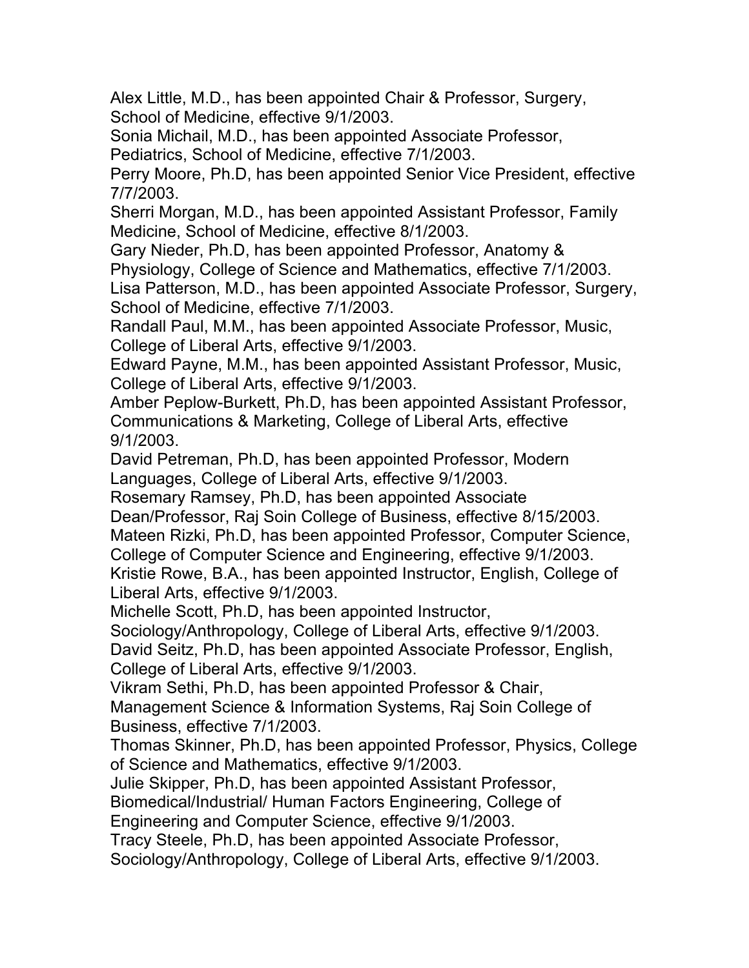Alex Little, M.D., has been appointed Chair & Professor, Surgery, School of Medicine, effective 9/1/2003.

 Sonia Michail, M.D., has been appointed Associate Professor, Pediatrics, School of Medicine, effective 7/1/2003.

 Perry Moore, Ph.D, has been appointed Senior Vice President, effective 7/7/2003.

 Sherri Morgan, M.D., has been appointed Assistant Professor, Family Medicine, School of Medicine, effective 8/1/2003.

 Gary Nieder, Ph.D, has been appointed Professor, Anatomy & Physiology, College of Science and Mathematics, effective 7/1/2003.

 Lisa Patterson, M.D., has been appointed Associate Professor, Surgery, School of Medicine, effective 7/1/2003.

 Randall Paul, M.M., has been appointed Associate Professor, Music, College of Liberal Arts, effective 9/1/2003.

 Edward Payne, M.M., has been appointed Assistant Professor, Music, College of Liberal Arts, effective 9/1/2003.

 Amber Peplow-Burkett, Ph.D, has been appointed Assistant Professor, Communications & Marketing, College of Liberal Arts, effective 9/1/2003.

 David Petreman, Ph.D, has been appointed Professor, Modern Languages, College of Liberal Arts, effective 9/1/2003.

Rosemary Ramsey, Ph.D, has been appointed Associate

Dean/Professor, Raj Soin College of Business, effective 8/15/2003.

Mateen Rizki, Ph.D, has been appointed Professor, Computer Science,

College of Computer Science and Engineering, effective 9/1/2003.

 Kristie Rowe, B.A., has been appointed Instructor, English, College of Liberal Arts, effective 9/1/2003.

Michelle Scott, Ph.D, has been appointed Instructor,

Sociology/Anthropology, College of Liberal Arts, effective 9/1/2003.

 David Seitz, Ph.D, has been appointed Associate Professor, English, College of Liberal Arts, effective 9/1/2003.

Vikram Sethi, Ph.D, has been appointed Professor & Chair,

 Management Science & Information Systems, Raj Soin College of Business, effective 7/1/2003.

 Thomas Skinner, Ph.D, has been appointed Professor, Physics, College of Science and Mathematics, effective 9/1/2003.

Julie Skipper, Ph.D, has been appointed Assistant Professor,

Biomedical/Industrial/ Human Factors Engineering, College of

Engineering and Computer Science, effective 9/1/2003.

Tracy Steele, Ph.D, has been appointed Associate Professor,

Sociology/Anthropology, College of Liberal Arts, effective 9/1/2003.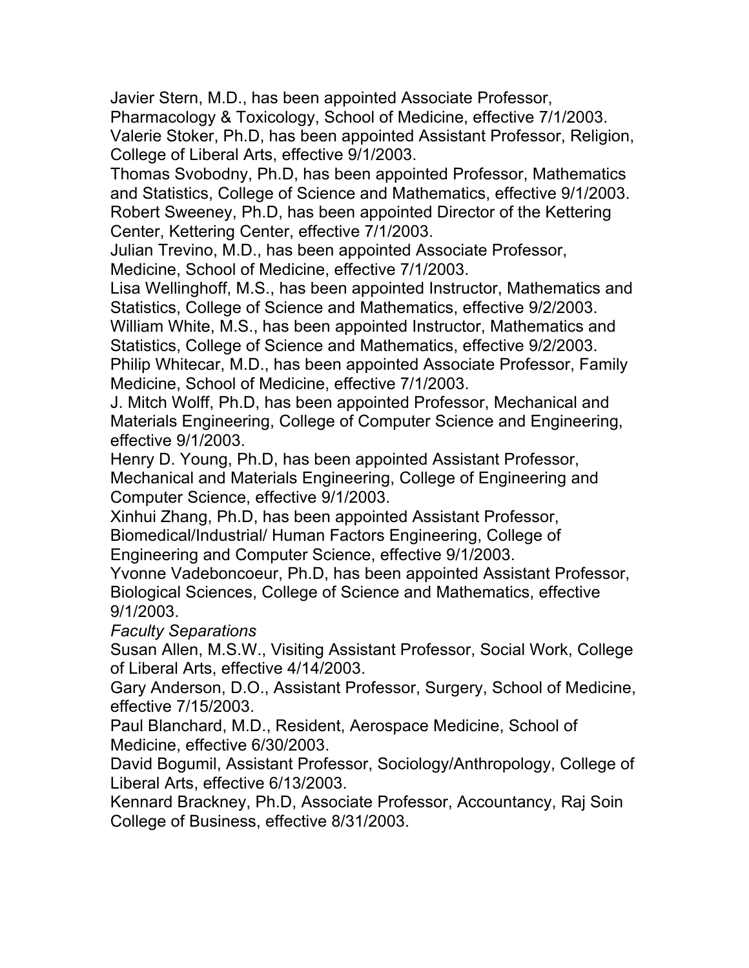Javier Stern, M.D., has been appointed Associate Professor, Pharmacology & Toxicology, School of Medicine, effective 7/1/2003. Valerie Stoker, Ph.D, has been appointed Assistant Professor, Religion, College of Liberal Arts, effective 9/1/2003.

 Thomas Svobodny, Ph.D, has been appointed Professor, Mathematics and Statistics, College of Science and Mathematics, effective 9/1/2003. Robert Sweeney, Ph.D, has been appointed Director of the Kettering Center, Kettering Center, effective 7/1/2003.

 Julian Trevino, M.D., has been appointed Associate Professor, Medicine, School of Medicine, effective 7/1/2003.

 Lisa Wellinghoff, M.S., has been appointed Instructor, Mathematics and Statistics, College of Science and Mathematics, effective 9/2/2003. William White, M.S., has been appointed Instructor, Mathematics and Statistics, College of Science and Mathematics, effective 9/2/2003. Philip Whitecar, M.D., has been appointed Associate Professor, Family Medicine, School of Medicine, effective 7/1/2003.

 J. Mitch Wolff, Ph.D, has been appointed Professor, Mechanical and Materials Engineering, College of Computer Science and Engineering, effective 9/1/2003.

 Henry D. Young, Ph.D, has been appointed Assistant Professor, Mechanical and Materials Engineering, College of Engineering and Computer Science, effective 9/1/2003.

 Xinhui Zhang, Ph.D, has been appointed Assistant Professor, Biomedical/Industrial/ Human Factors Engineering, College of Engineering and Computer Science, effective 9/1/2003.

 Yvonne Vadeboncoeur, Ph.D, has been appointed Assistant Professor, Biological Sciences, College of Science and Mathematics, effective 9/1/2003.

*Faculty Separations* 

 Susan Allen, M.S.W., Visiting Assistant Professor, Social Work, College of Liberal Arts, effective 4/14/2003.

 Gary Anderson, D.O., Assistant Professor, Surgery, School of Medicine, effective 7/15/2003.

 Paul Blanchard, M.D., Resident, Aerospace Medicine, School of Medicine, effective 6/30/2003.

 David Bogumil, Assistant Professor, Sociology/Anthropology, College of Liberal Arts, effective 6/13/2003.

 Kennard Brackney, Ph.D, Associate Professor, Accountancy, Raj Soin College of Business, effective 8/31/2003.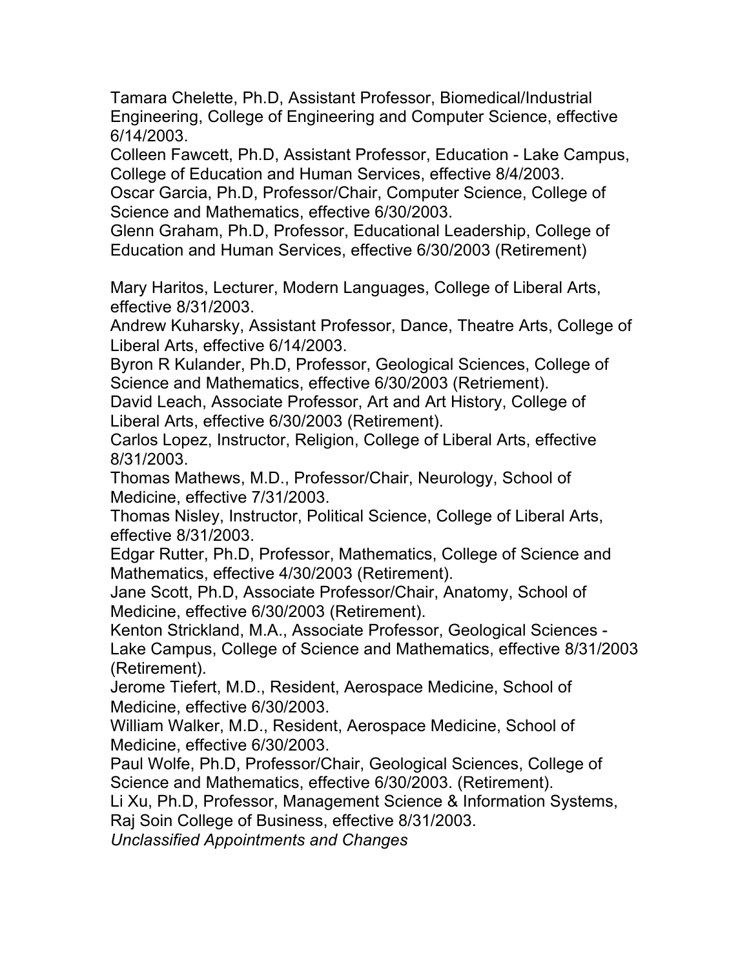Tamara Chelette, Ph.D, Assistant Professor, Biomedical/Industrial Engineering, College of Engineering and Computer Science, effective 6/14/2003.

 Colleen Fawcett, Ph.D, Assistant Professor, Education - Lake Campus, College of Education and Human Services, effective 8/4/2003.

 Oscar Garcia, Ph.D, Professor/Chair, Computer Science, College of Science and Mathematics, effective 6/30/2003.

 Glenn Graham, Ph.D, Professor, Educational Leadership, College of Education and Human Services, effective 6/30/2003 (Retirement)

 Mary Haritos, Lecturer, Modern Languages, College of Liberal Arts, effective 8/31/2003.

 Andrew Kuharsky, Assistant Professor, Dance, Theatre Arts, College of Liberal Arts, effective 6/14/2003.

 Byron R Kulander, Ph.D, Professor, Geological Sciences, College of Science and Mathematics, effective 6/30/2003 (Retriement).

 David Leach, Associate Professor, Art and Art History, College of Liberal Arts, effective 6/30/2003 (Retirement).

 Carlos Lopez, Instructor, Religion, College of Liberal Arts, effective 8/31/2003.

 Thomas Mathews, M.D., Professor/Chair, Neurology, School of Medicine, effective 7/31/2003.

 Thomas Nisley, Instructor, Political Science, College of Liberal Arts, effective 8/31/2003.

 Edgar Rutter, Ph.D, Professor, Mathematics, College of Science and Mathematics, effective 4/30/2003 (Retirement).

 Jane Scott, Ph.D, Associate Professor/Chair, Anatomy, School of Medicine, effective 6/30/2003 (Retirement).

 Kenton Strickland, M.A., Associate Professor, Geological Sciences - Lake Campus, College of Science and Mathematics, effective 8/31/2003 (Retirement).

 Jerome Tiefert, M.D., Resident, Aerospace Medicine, School of Medicine, effective 6/30/2003.

 William Walker, M.D., Resident, Aerospace Medicine, School of Medicine, effective 6/30/2003.

 Paul Wolfe, Ph.D, Professor/Chair, Geological Sciences, College of Science and Mathematics, effective 6/30/2003. (Retirement).

Li Xu, Ph.D, Professor, Management Science & Information Systems,

Raj Soin College of Business, effective 8/31/2003.

 *Unclassified Appointments and Changes*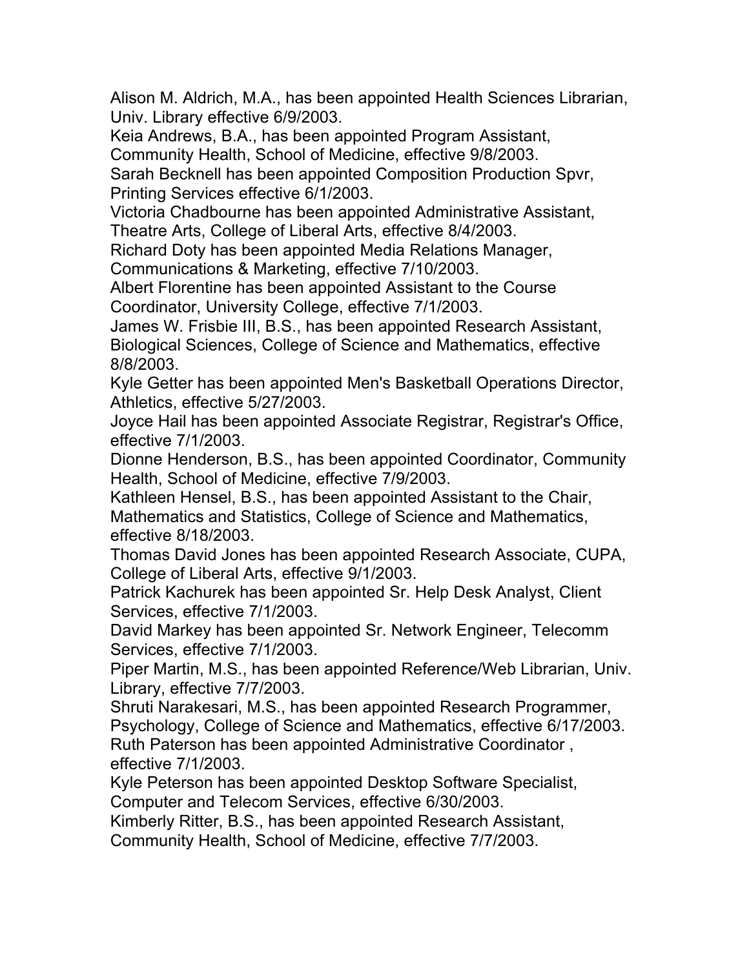Alison M. Aldrich, M.A., has been appointed Health Sciences Librarian, Univ. Library effective 6/9/2003.

Keia Andrews, B.A., has been appointed Program Assistant,

Community Health, School of Medicine, effective 9/8/2003.

 Sarah Becknell has been appointed Composition Production Spvr, Printing Services effective 6/1/2003.

 Theatre Arts, College of Liberal Arts, effective 8/4/2003. Victoria Chadbourne has been appointed Administrative Assistant,

Richard Doty has been appointed Media Relations Manager,

Communications & Marketing, effective 7/10/2003.

 Coordinator, University College, effective 7/1/2003. Albert Florentine has been appointed Assistant to the Course

 James W. Frisbie III, B.S., has been appointed Research Assistant, Biological Sciences, College of Science and Mathematics, effective 8/8/2003.

 Kyle Getter has been appointed Men's Basketball Operations Director, Athletics, effective 5/27/2003.

Joyce Hail has been appointed Associate Registrar, Registrar's Office, effective 7/1/2003.

 Dionne Henderson, B.S., has been appointed Coordinator, Community Health, School of Medicine, effective 7/9/2003.

 Kathleen Hensel, B.S., has been appointed Assistant to the Chair, Mathematics and Statistics, College of Science and Mathematics, effective 8/18/2003.

 Thomas David Jones has been appointed Research Associate, CUPA, College of Liberal Arts, effective 9/1/2003.

 Patrick Kachurek has been appointed Sr. Help Desk Analyst, Client Services, effective 7/1/2003.

 David Markey has been appointed Sr. Network Engineer, Telecomm Services, effective 7/1/2003.

 Piper Martin, M.S., has been appointed Reference/Web Librarian, Univ. Library, effective 7/7/2003.

 Shruti Narakesari, M.S., has been appointed Research Programmer, Psychology, College of Science and Mathematics, effective 6/17/2003. Ruth Paterson has been appointed Administrative Coordinator , effective 7/1/2003.

 Computer and Telecom Services, effective 6/30/2003. Kyle Peterson has been appointed Desktop Software Specialist,

Kimberly Ritter, B.S., has been appointed Research Assistant,

Community Health, School of Medicine, effective 7/7/2003.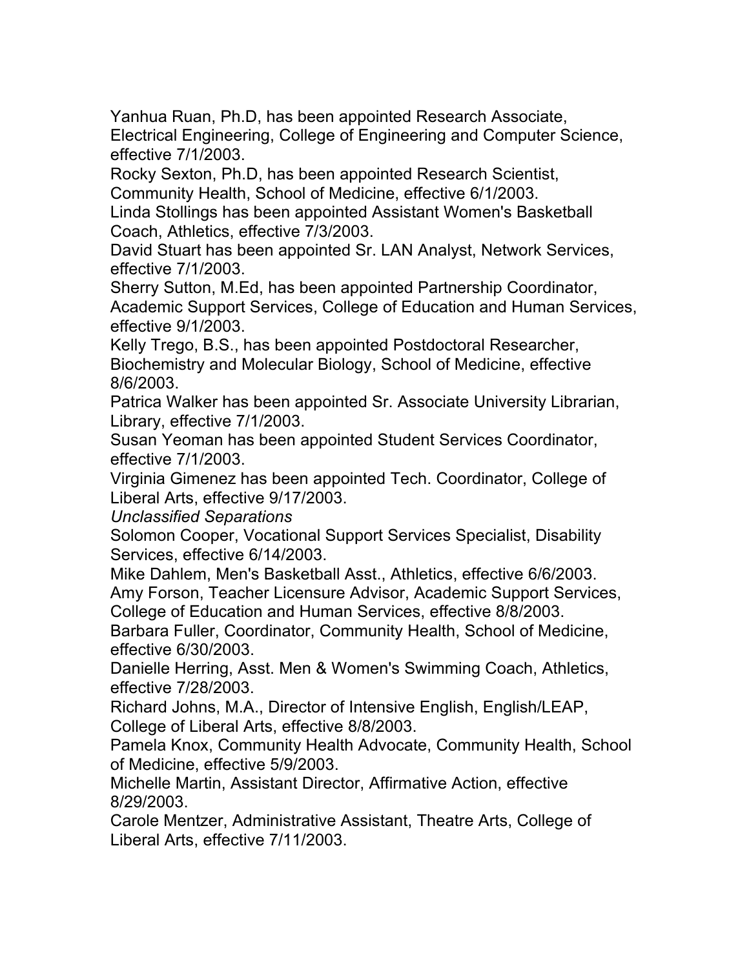Yanhua Ruan, Ph.D, has been appointed Research Associate, Electrical Engineering, College of Engineering and Computer Science, effective 7/1/2003.

Rocky Sexton, Ph.D, has been appointed Research Scientist,

Community Health, School of Medicine, effective 6/1/2003.

 Coach, Athletics, effective 7/3/2003. Linda Stollings has been appointed Assistant Women's Basketball

 David Stuart has been appointed Sr. LAN Analyst, Network Services, effective 7/1/2003.

 Sherry Sutton, M.Ed, has been appointed Partnership Coordinator, Academic Support Services, College of Education and Human Services, effective 9/1/2003.

 Kelly Trego, B.S., has been appointed Postdoctoral Researcher, Biochemistry and Molecular Biology, School of Medicine, effective 8/6/2003.

 Patrica Walker has been appointed Sr. Associate University Librarian, Library, effective 7/1/2003.

 Susan Yeoman has been appointed Student Services Coordinator, effective 7/1/2003.

 Virginia Gimenez has been appointed Tech. Coordinator, College of Liberal Arts, effective 9/17/2003.

*Unclassified Separations* 

 Solomon Cooper, Vocational Support Services Specialist, Disability Services, effective 6/14/2003.

 Mike Dahlem, Men's Basketball Asst., Athletics, effective 6/6/2003. Amy Forson, Teacher Licensure Advisor, Academic Support Services, College of Education and Human Services, effective 8/8/2003.

 Barbara Fuller, Coordinator, Community Health, School of Medicine, effective 6/30/2003.

 Danielle Herring, Asst. Men & Women's Swimming Coach, Athletics, effective 7/28/2003.

 Richard Johns, M.A., Director of Intensive English, English/LEAP, College of Liberal Arts, effective 8/8/2003.

 Pamela Knox, Community Health Advocate, Community Health, School of Medicine, effective 5/9/2003.

 Michelle Martin, Assistant Director, Affirmative Action, effective 8/29/2003.

 Carole Mentzer, Administrative Assistant, Theatre Arts, College of Liberal Arts, effective 7/11/2003.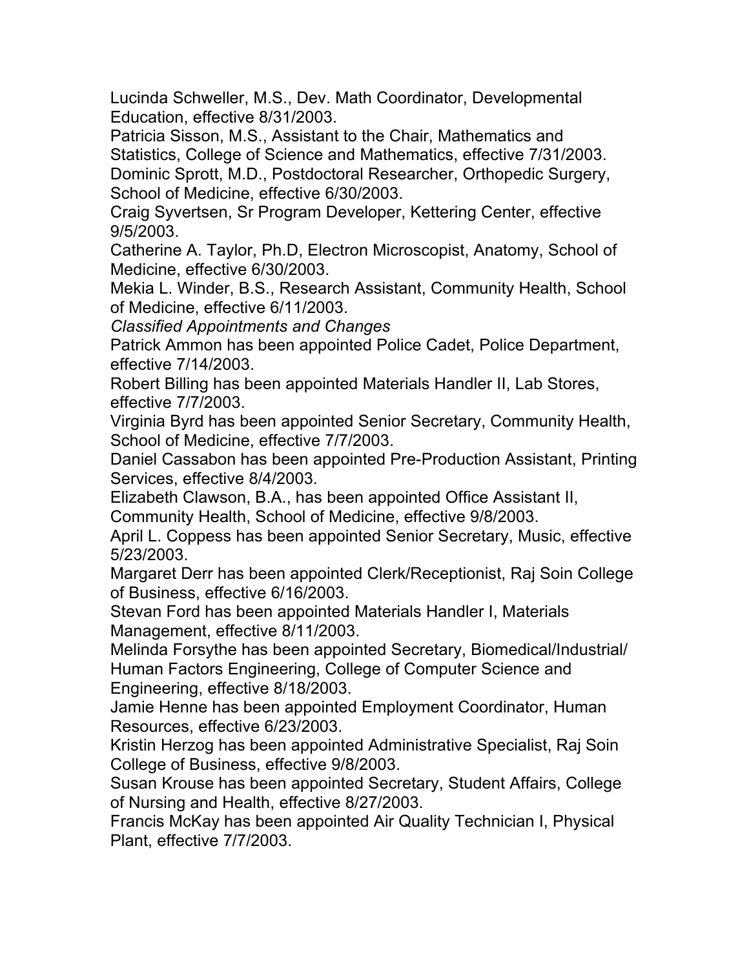Lucinda Schweller, M.S., Dev. Math Coordinator, Developmental Education, effective 8/31/2003.

 Patricia Sisson, M.S., Assistant to the Chair, Mathematics and Statistics, College of Science and Mathematics, effective 7/31/2003. Dominic Sprott, M.D., Postdoctoral Researcher, Orthopedic Surgery, School of Medicine, effective 6/30/2003.

 Craig Syvertsen, Sr Program Developer, Kettering Center, effective 9/5/2003.

 Catherine A. Taylor, Ph.D, Electron Microscopist, Anatomy, School of Medicine, effective 6/30/2003.

 Mekia L. Winder, B.S., Research Assistant, Community Health, School of Medicine, effective 6/11/2003.

 *Classified Appointments and Changes* 

Patrick Ammon has been appointed Police Cadet, Police Department, effective 7/14/2003.

 Robert Billing has been appointed Materials Handler II, Lab Stores, effective 7/7/2003.

 Virginia Byrd has been appointed Senior Secretary, Community Health, School of Medicine, effective 7/7/2003.

 Daniel Cassabon has been appointed Pre-Production Assistant, Printing Services, effective 8/4/2003.

Elizabeth Clawson, B.A., has been appointed Office Assistant II,

Community Health, School of Medicine, effective 9/8/2003.

 April L. Coppess has been appointed Senior Secretary, Music, effective 5/23/2003.

 Margaret Derr has been appointed Clerk/Receptionist, Raj Soin College of Business, effective 6/16/2003.

 Stevan Ford has been appointed Materials Handler I, Materials Management, effective 8/11/2003.

 Melinda Forsythe has been appointed Secretary, Biomedical/Industrial/ Human Factors Engineering, College of Computer Science and Engineering, effective 8/18/2003.

 Resources, effective 6/23/2003. Jamie Henne has been appointed Employment Coordinator, Human

 Kristin Herzog has been appointed Administrative Specialist, Raj Soin College of Business, effective 9/8/2003.

 Susan Krouse has been appointed Secretary, Student Affairs, College of Nursing and Health, effective 8/27/2003.

 Francis McKay has been appointed Air Quality Technician I, Physical Plant, effective 7/7/2003.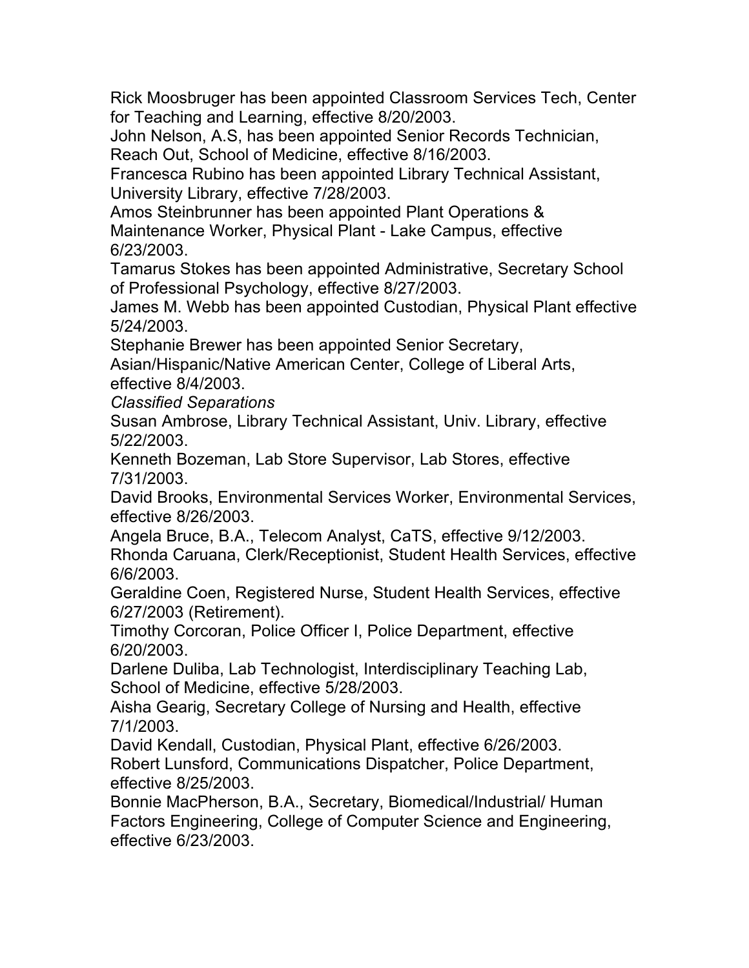Rick Moosbruger has been appointed Classroom Services Tech, Center for Teaching and Learning, effective 8/20/2003.

 John Nelson, A.S, has been appointed Senior Records Technician, Reach Out, School of Medicine, effective 8/16/2003.

 University Library, effective 7/28/2003. Francesca Rubino has been appointed Library Technical Assistant,

 Amos Steinbrunner has been appointed Plant Operations & Maintenance Worker, Physical Plant - Lake Campus, effective 6/23/2003.

Tamarus Stokes has been appointed Administrative, Secretary School of Professional Psychology, effective 8/27/2003.

 James M. Webb has been appointed Custodian, Physical Plant effective 5/24/2003.

Stephanie Brewer has been appointed Senior Secretary,

 Asian/Hispanic/Native American Center, College of Liberal Arts, effective 8/4/2003.

*Classified Separations* 

 Susan Ambrose, Library Technical Assistant, Univ. Library, effective 5/22/2003.

Kenneth Bozeman, Lab Store Supervisor, Lab Stores, effective 7/31/2003.

 David Brooks, Environmental Services Worker, Environmental Services, effective 8/26/2003.

 Angela Bruce, B.A., Telecom Analyst, CaTS, effective 9/12/2003. Rhonda Caruana, Clerk/Receptionist, Student Health Services, effective 6/6/2003.

 Geraldine Coen, Registered Nurse, Student Health Services, effective 6/27/2003 (Retirement).

 Timothy Corcoran, Police Officer I, Police Department, effective 6/20/2003.

 Darlene Duliba, Lab Technologist, Interdisciplinary Teaching Lab, School of Medicine, effective 5/28/2003.

Aisha Gearig, Secretary College of Nursing and Health, effective 7/1/2003.

David Kendall, Custodian, Physical Plant, effective 6/26/2003.

 Robert Lunsford, Communications Dispatcher, Police Department, effective 8/25/2003.

 Bonnie MacPherson, B.A., Secretary, Biomedical/Industrial/ Human Factors Engineering, College of Computer Science and Engineering, effective 6/23/2003.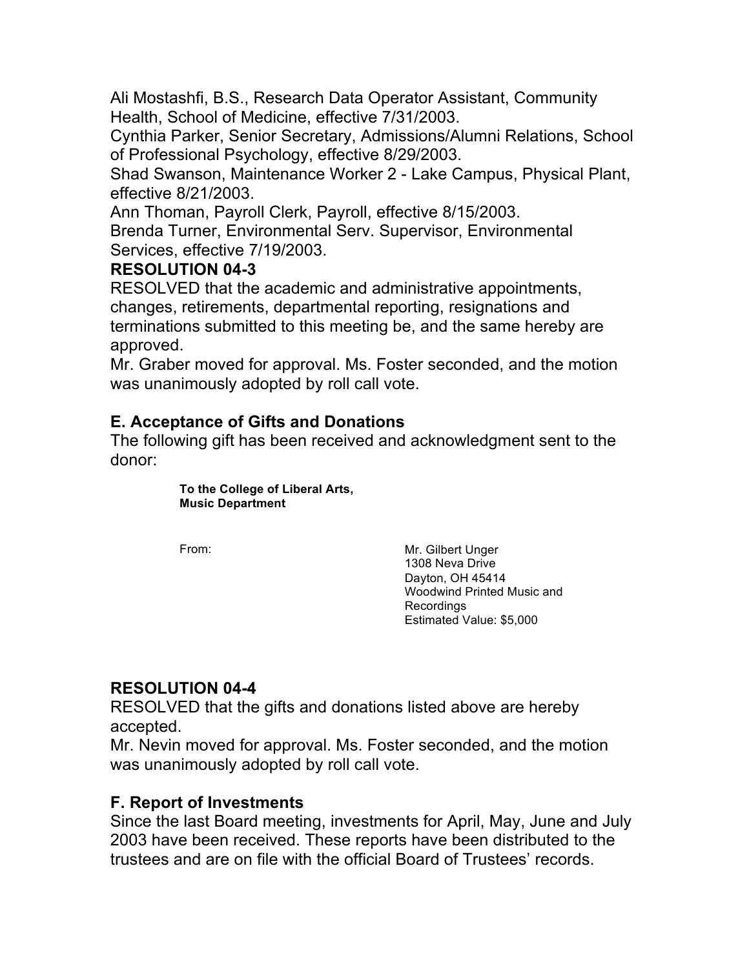Ali Mostashfi, B.S., Research Data Operator Assistant, Community Health, School of Medicine, effective 7/31/2003.

 Cynthia Parker, Senior Secretary, Admissions/Alumni Relations, School of Professional Psychology, effective 8/29/2003.

Shad Swanson, Maintenance Worker 2 - Lake Campus, Physical Plant, effective 8/21/2003.

Ann Thoman, Payroll Clerk, Payroll, effective 8/15/2003.

 Brenda Turner, Environmental Serv. Supervisor, Environmental Services, effective 7/19/2003.

#### **RESOLUTION 04-3**

 RESOLVED that the academic and administrative appointments, changes, retirements, departmental reporting, resignations and terminations submitted to this meeting be, and the same hereby are approved.

 Mr. Graber moved for approval. Ms. Foster seconded, and the motion was unanimously adopted by roll call vote.

### **E. Acceptance of Gifts and Donations**

 The following gift has been received and acknowledgment sent to the donor:

> **To the College of Liberal Arts, Music Department**

From: The Mr. Gilbert Unger Woodwind Printed Music and Estimated Value: \$5,000 1308 Neva Drive Dayton, OH 45414 Recordings

### **RESOLUTION 04-4**

 RESOLVED that the gifts and donations listed above are hereby accepted.

 Mr. Nevin moved for approval. Ms. Foster seconded, and the motion was unanimously adopted by roll call vote.

### **F. Report of Investments**

 Since the last Board meeting, investments for April, May, June and July 2003 have been received. These reports have been distributed to the trustees and are on file with the official Board of Trustees' records.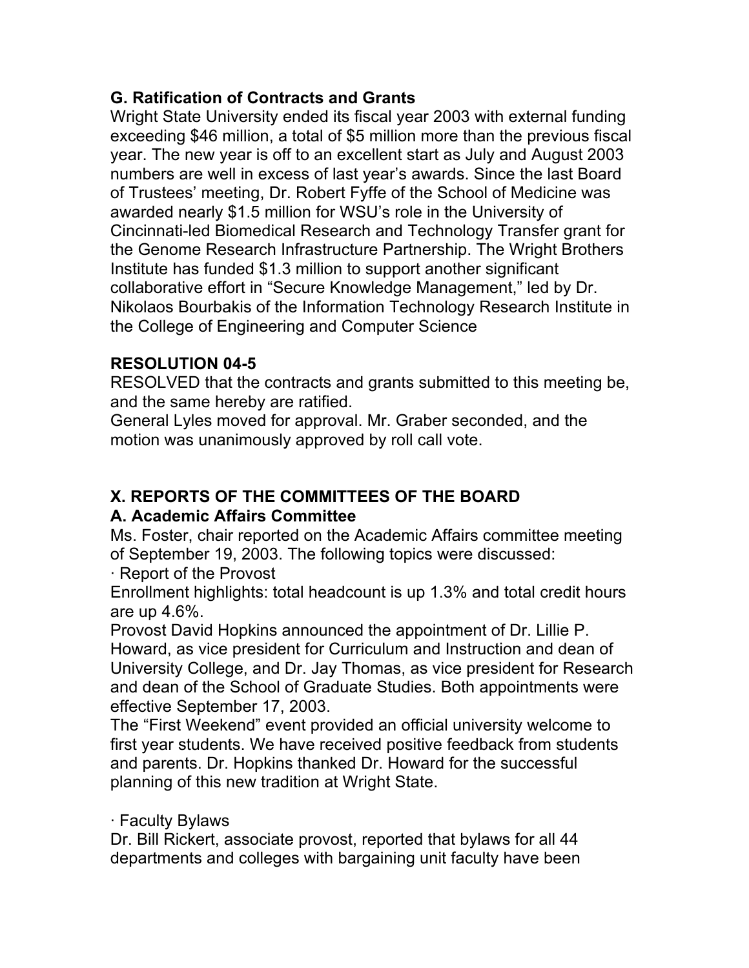### **G. Ratification of Contracts and Grants**

 Wright State University ended its fiscal year 2003 with external funding exceeding \$46 million, a total of \$5 million more than the previous fiscal year. The new year is off to an excellent start as July and August 2003 numbers are well in excess of last year's awards. Since the last Board of Trustees' meeting, Dr. Robert Fyffe of the School of Medicine was collaborative effort in "Secure Knowledge Management," led by Dr. Nikolaos Bourbakis of the Information Technology Research Institute in awarded nearly \$1.5 million for WSU's role in the University of Cincinnati-led Biomedical Research and Technology Transfer grant for the Genome Research Infrastructure Partnership. The Wright Brothers Institute has funded \$1.3 million to support another significant the College of Engineering and Computer Science

#### **RESOLUTION 04-5**

 RESOLVED that the contracts and grants submitted to this meeting be, and the same hereby are ratified.

 General Lyles moved for approval. Mr. Graber seconded, and the motion was unanimously approved by roll call vote.

### **X. REPORTS OF THE COMMITTEES OF THE BOARD**

#### **A. Academic Affairs Committee**

 Ms. Foster, chair reported on the Academic Affairs committee meeting of September 19, 2003. The following topics were discussed:

· Report of the Provost

 Enrollment highlights: total headcount is up 1.3% and total credit hours are up 4.6%.

 Provost David Hopkins announced the appointment of Dr. Lillie P. Howard, as vice president for Curriculum and Instruction and dean of University College, and Dr. Jay Thomas, as vice president for Research and dean of the School of Graduate Studies. Both appointments were effective September 17, 2003.

 The "First Weekend" event provided an official university welcome to and parents. Dr. Hopkins thanked Dr. Howard for the successful planning of this new tradition at Wright State. first year students. We have received positive feedback from students

#### · Faculty Bylaws

 Dr. Bill Rickert, associate provost, reported that bylaws for all 44 departments and colleges with bargaining unit faculty have been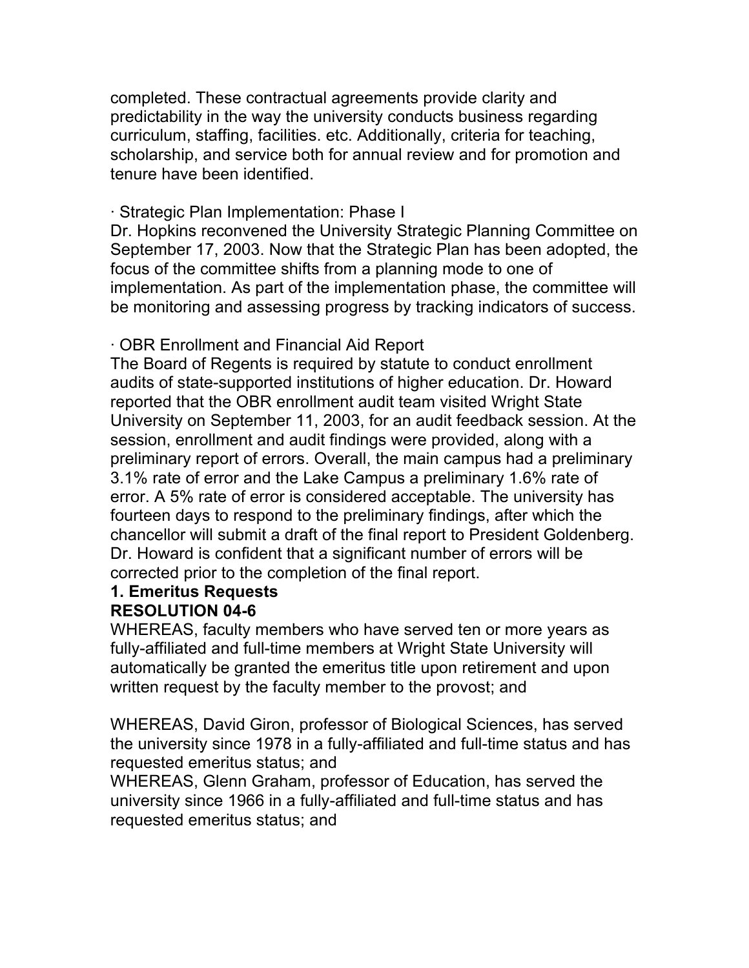curriculum, staffing, facilities. etc. Additionally, criteria for teaching, scholarship, and service both for annual review and for promotion and completed. These contractual agreements provide clarity and predictability in the way the university conducts business regarding tenure have been identified.

#### · Strategic Plan Implementation: Phase I

 Dr. Hopkins reconvened the University Strategic Planning Committee on September 17, 2003. Now that the Strategic Plan has been adopted, the focus of the committee shifts from a planning mode to one of implementation. As part of the implementation phase, the committee will be monitoring and assessing progress by tracking indicators of success.

#### · OBR Enrollment and Financial Aid Report

 The Board of Regents is required by statute to conduct enrollment audits of state-supported institutions of higher education. Dr. Howard reported that the OBR enrollment audit team visited Wright State University on September 11, 2003, for an audit feedback session. At the session, enrollment and audit findings were provided, along with a preliminary report of errors. Overall, the main campus had a preliminary 3.1% rate of error and the Lake Campus a preliminary 1.6% rate of error. A 5% rate of error is considered acceptable. The university has chancellor will submit a draft of the final report to President Goldenberg. Dr. Howard is confident that a significant number of errors will be corrected prior to the completion of the final report. fourteen days to respond to the preliminary findings, after which the

#### **1. Emeritus Requests RESOLUTION 04-6**

 WHEREAS, faculty members who have served ten or more years as written request by the faculty member to the provost; and fully-affiliated and full-time members at Wright State University will automatically be granted the emeritus title upon retirement and upon

 WHEREAS, David Giron, professor of Biological Sciences, has served the university since 1978 in a fully-affiliated and full-time status and has requested emeritus status; and

 WHEREAS, Glenn Graham, professor of Education, has served the university since 1966 in a fully-affiliated and full-time status and has requested emeritus status; and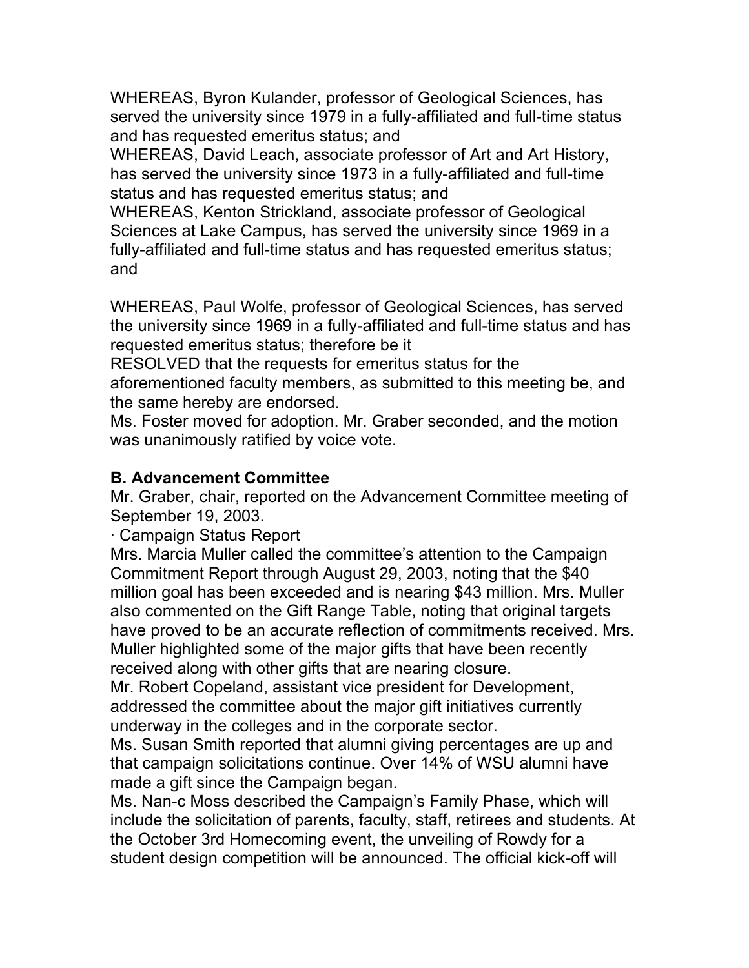WHEREAS, Byron Kulander, professor of Geological Sciences, has served the university since 1979 in a fully-affiliated and full-time status and has requested emeritus status; and

 WHEREAS, David Leach, associate professor of Art and Art History, has served the university since 1973 in a fully-affiliated and full-time status and has requested emeritus status; and

 WHEREAS, Kenton Strickland, associate professor of Geological Sciences at Lake Campus, has served the university since 1969 in a fully-affiliated and full-time status and has requested emeritus status; and

 WHEREAS, Paul Wolfe, professor of Geological Sciences, has served the university since 1969 in a fully-affiliated and full-time status and has requested emeritus status; therefore be it

 RESOLVED that the requests for emeritus status for the aforementioned faculty members, as submitted to this meeting be, and the same hereby are endorsed.

 Ms. Foster moved for adoption. Mr. Graber seconded, and the motion was unanimously ratified by voice vote.

#### **B. Advancement Committee**

 Mr. Graber, chair, reported on the Advancement Committee meeting of September 19, 2003.

· Campaign Status Report

 Mrs. Marcia Muller called the committee's attention to the Campaign Commitment Report through August 29, 2003, noting that the \$40 million goal has been exceeded and is nearing \$43 million. Mrs. Muller also commented on the Gift Range Table, noting that original targets have proved to be an accurate reflection of commitments received. Mrs. Muller highlighted some of the major gifts that have been recently received along with other gifts that are nearing closure.

 Mr. Robert Copeland, assistant vice president for Development, addressed the committee about the major gift initiatives currently underway in the colleges and in the corporate sector.

 Ms. Susan Smith reported that alumni giving percentages are up and made a gift since the Campaign began. that campaign solicitations continue. Over 14% of WSU alumni have

 Ms. Nan-c Moss described the Campaign's Family Phase, which will student design competition will be announced. The official kick-off will include the solicitation of parents, faculty, staff, retirees and students. At the October 3rd Homecoming event, the unveiling of Rowdy for a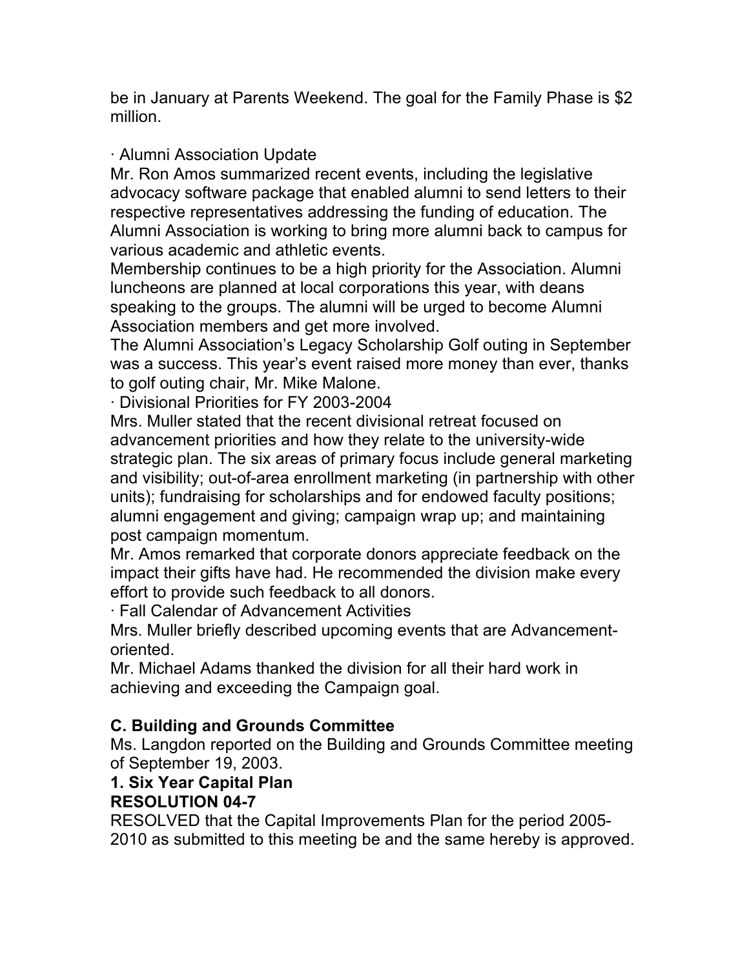be in January at Parents Weekend. The goal for the Family Phase is \$2 million.

#### · Alumni Association Update

 Mr. Ron Amos summarized recent events, including the legislative Alumni Association is working to bring more alumni back to campus for various academic and athletic events. advocacy software package that enabled alumni to send letters to their respective representatives addressing the funding of education. The

 Membership continues to be a high priority for the Association. Alumni speaking to the groups. The alumni will be urged to become Alumni Association members and get more involved. luncheons are planned at local corporations this year, with deans

 was a success. This year's event raised more money than ever, thanks The Alumni Association's Legacy Scholarship Golf outing in September to golf outing chair, Mr. Mike Malone.

· Divisional Priorities for FY 2003-2004

 Mrs. Muller stated that the recent divisional retreat focused on strategic plan. The six areas of primary focus include general marketing alumni engagement and giving; campaign wrap up; and maintaining advancement priorities and how they relate to the university-wide and visibility; out-of-area enrollment marketing (in partnership with other units); fundraising for scholarships and for endowed faculty positions; post campaign momentum.

 Mr. Amos remarked that corporate donors appreciate feedback on the impact their gifts have had. He recommended the division make every effort to provide such feedback to all donors.

· Fall Calendar of Advancement Activities

 Mrs. Muller briefly described upcoming events that are Advancementoriented.

 Mr. Michael Adams thanked the division for all their hard work in achieving and exceeding the Campaign goal.

### **C. Building and Grounds Committee**

 Ms. Langdon reported on the Building and Grounds Committee meeting of September 19, 2003.

## **1. Six Year Capital Plan**

#### **RESOLUTION 04-7**

 RESOLVED that the Capital Improvements Plan for the period 2005- 2010 as submitted to this meeting be and the same hereby is approved.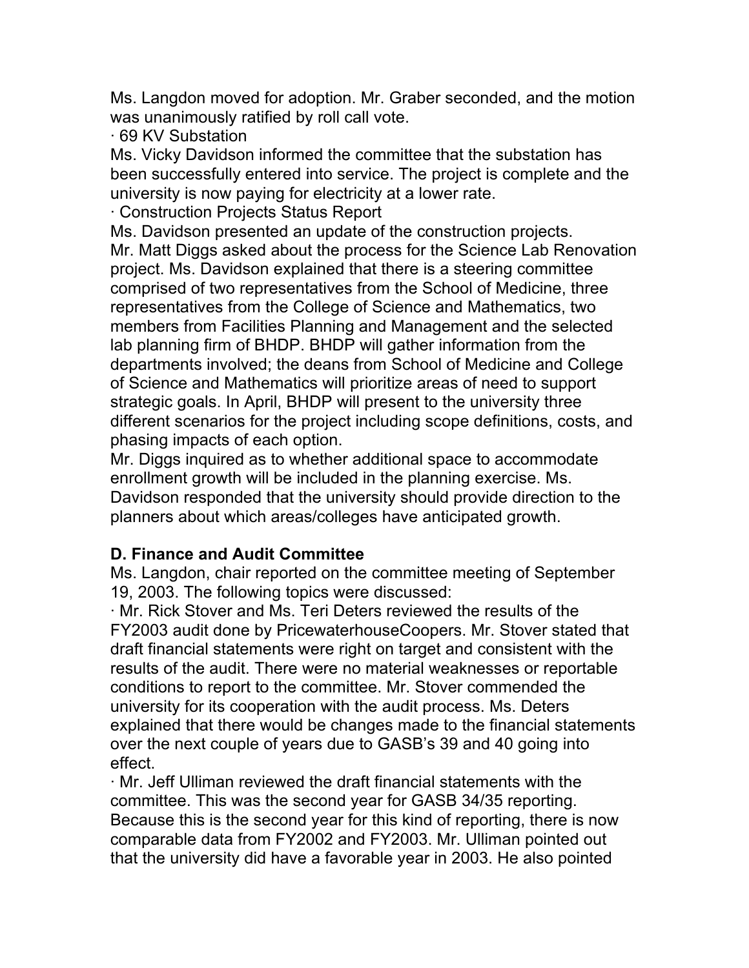Ms. Langdon moved for adoption. Mr. Graber seconded, and the motion was unanimously ratified by roll call vote.

· 69 KV Substation

 Ms. Vicky Davidson informed the committee that the substation has university is now paying for electricity at a lower rate. been successfully entered into service. The project is complete and the

· Construction Projects Status Report

 Ms. Davidson presented an update of the construction projects. Mr. Matt Diggs asked about the process for the Science Lab Renovation project. Ms. Davidson explained that there is a steering committee comprised of two representatives from the School of Medicine, three members from Facilities Planning and Management and the selected departments involved; the deans from School of Medicine and College strategic goals. In April, BHDP will present to the university three different scenarios for the project including scope definitions, costs, and representatives from the College of Science and Mathematics, two lab planning firm of BHDP. BHDP will gather information from the of Science and Mathematics will prioritize areas of need to support phasing impacts of each option.

 enrollment growth will be included in the planning exercise. Ms. Davidson responded that the university should provide direction to the Mr. Diggs inquired as to whether additional space to accommodate planners about which areas/colleges have anticipated growth.

### **D. Finance and Audit Committee**

 Ms. Langdon, chair reported on the committee meeting of September 19, 2003. The following topics were discussed:

 FY2003 audit done by PricewaterhouseCoopers. Mr. Stover stated that draft financial statements were right on target and consistent with the conditions to report to the committee. Mr. Stover commended the university for its cooperation with the audit process. Ms. Deters over the next couple of years due to GASB's 39 and 40 going into · Mr. Rick Stover and Ms. Teri Deters reviewed the results of the results of the audit. There were no material weaknesses or reportable explained that there would be changes made to the financial statements effect.

 committee. This was the second year for GASB 34/35 reporting. Because this is the second year for this kind of reporting, there is now · Mr. Jeff Ulliman reviewed the draft financial statements with the comparable data from FY2002 and FY2003. Mr. Ulliman pointed out that the university did have a favorable year in 2003. He also pointed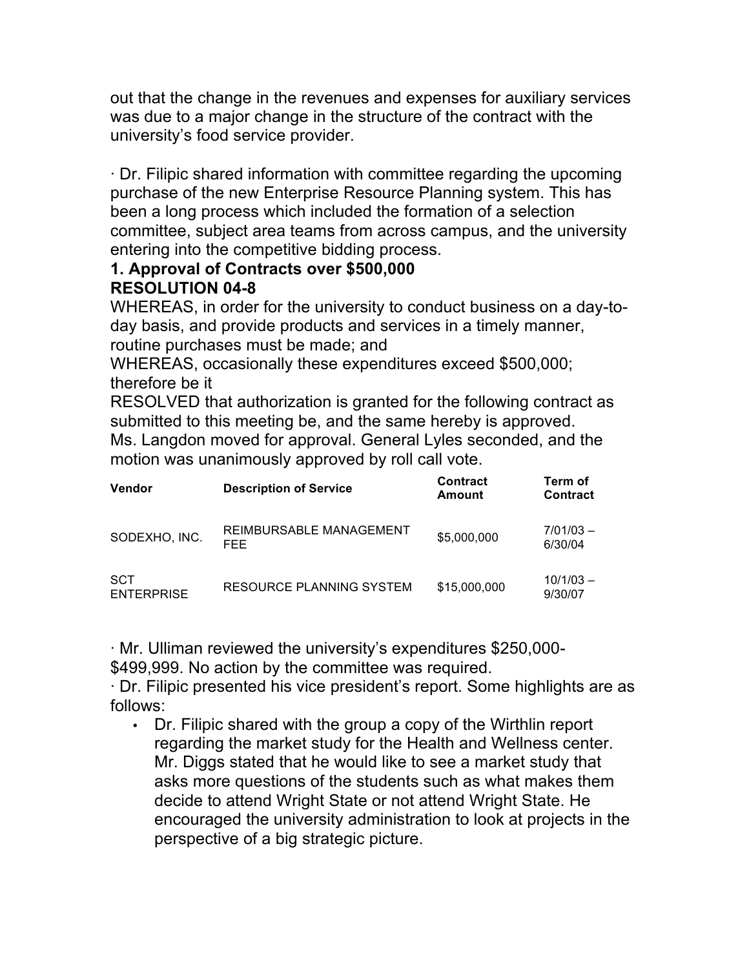out that the change in the revenues and expenses for auxiliary services was due to a major change in the structure of the contract with the university's food service provider.

 purchase of the new Enterprise Resource Planning system. This has · Dr. Filipic shared information with committee regarding the upcoming been a long process which included the formation of a selection committee, subject area teams from across campus, and the university entering into the competitive bidding process.

#### **1. Approval of Contracts over \$500,000 RESOLUTION 04-8**

 WHEREAS, in order for the university to conduct business on a day-to- day basis, and provide products and services in a timely manner, routine purchases must be made; and

 WHEREAS, occasionally these expenditures exceed \$500,000; therefore be it

 RESOLVED that authorization is granted for the following contract as Ms. Langdon moved for approval. General Lyles seconded, and the motion was unanimously approved by roll call vote. submitted to this meeting be, and the same hereby is approved.

| <b>Vendor</b>                   | <b>Description of Service</b>   | <b>Contract</b><br>Amount | Term of<br><b>Contract</b> |
|---------------------------------|---------------------------------|---------------------------|----------------------------|
| SODEXHO, INC.                   | REIMBURSABLE MANAGEMENT<br>FFF. | \$5,000,000               | $7/01/03 -$<br>6/30/04     |
| <b>SCT</b><br><b>ENTERPRISE</b> | <b>RESOURCE PLANNING SYSTEM</b> | \$15,000,000              | $10/1/03 -$<br>9/30/07     |

· Mr. Ulliman reviewed the university's expenditures \$250,000-

\$499,999. No action by the committee was required.

· Dr. Filipic presented his vice president's report. Some highlights are as follows:

 • Dr. Filipic shared with the group a copy of the Wirthlin report Mr. Diggs stated that he would like to see a market study that decide to attend Wright State or not attend Wright State. He regarding the market study for the Health and Wellness center. asks more questions of the students such as what makes them encouraged the university administration to look at projects in the perspective of a big strategic picture.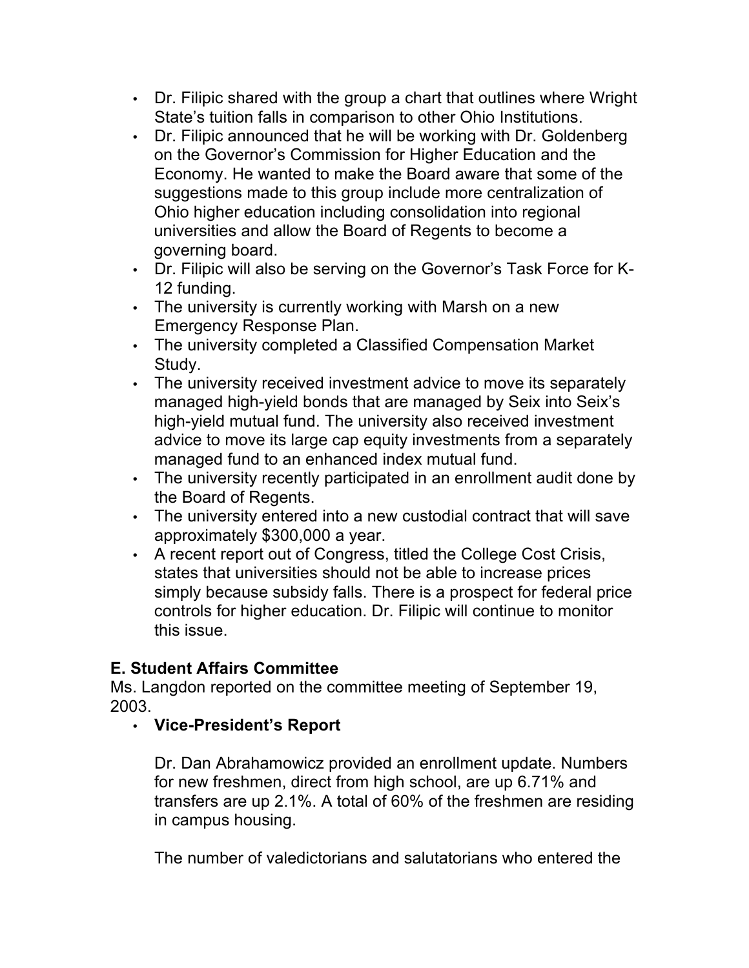- Dr. Filipic shared with the group a chart that outlines where Wright State's tuition falls in comparison to other Ohio Institutions.
- Dr. Filipic announced that he will be working with Dr. Goldenberg on the Governor's Commission for Higher Education and the Economy. He wanted to make the Board aware that some of the suggestions made to this group include more centralization of Ohio higher education including consolidation into regional universities and allow the Board of Regents to become a governing board.
- Dr. Filipic will also be serving on the Governor's Task Force for K-12 funding.
- The university is currently working with Marsh on a new Emergency Response Plan.
- The university completed a Classified Compensation Market Study.
- The university received investment advice to move its separately managed high-yield bonds that are managed by Seix into Seix's high-yield mutual fund. The university also received investment advice to move its large cap equity investments from a separately managed fund to an enhanced index mutual fund.
- The university recently participated in an enrollment audit done by the Board of Regents.
- The university entered into a new custodial contract that will save approximately \$300,000 a year.
- A recent report out of Congress, titled the College Cost Crisis, states that universities should not be able to increase prices simply because subsidy falls. There is a prospect for federal price controls for higher education. Dr. Filipic will continue to monitor this issue.

### **E. Student Affairs Committee**

 Ms. Langdon reported on the committee meeting of September 19, 2003.

#### • **Vice-President's Report**

 Dr. Dan Abrahamowicz provided an enrollment update. Numbers for new freshmen, direct from high school, are up 6.71% and transfers are up 2.1%. A total of 60% of the freshmen are residing in campus housing.

The number of valedictorians and salutatorians who entered the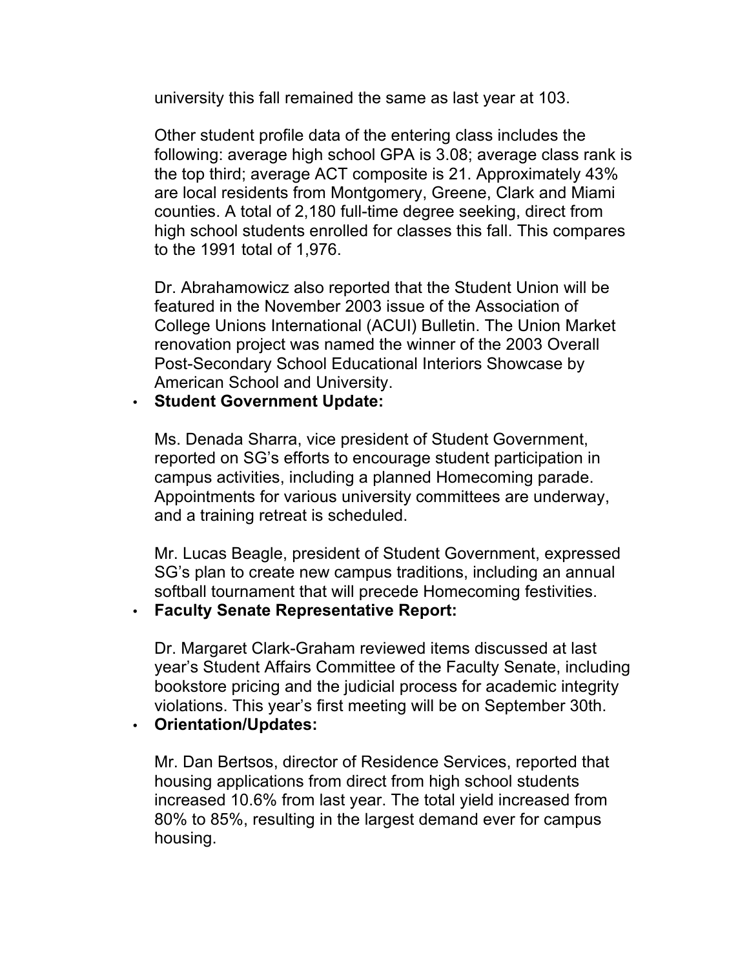university this fall remained the same as last year at 103.

 Other student profile data of the entering class includes the are local residents from Montgomery, Greene, Clark and Miami counties. A total of 2,180 full-time degree seeking, direct from following: average high school GPA is 3.08; average class rank is the top third; average ACT composite is 21. Approximately 43% high school students enrolled for classes this fall. This compares to the 1991 total of 1,976.

 Dr. Abrahamowicz also reported that the Student Union will be College Unions International (ACUI) Bulletin. The Union Market Post-Secondary School Educational Interiors Showcase by featured in the November 2003 issue of the Association of renovation project was named the winner of the 2003 Overall American School and University.

#### • **Student Government Update:**

 Ms. Denada Sharra, vice president of Student Government, Appointments for various university committees are underway, reported on SG's efforts to encourage student participation in campus activities, including a planned Homecoming parade. and a training retreat is scheduled.

 Mr. Lucas Beagle, president of Student Government, expressed SG's plan to create new campus traditions, including an annual softball tournament that will precede Homecoming festivities.

• **Faculty Senate Representative Report:** 

 Dr. Margaret Clark-Graham reviewed items discussed at last year's Student Affairs Committee of the Faculty Senate, including bookstore pricing and the judicial process for academic integrity violations. This year's first meeting will be on September 30th.

#### • **Orientation/Updates:**

 Mr. Dan Bertsos, director of Residence Services, reported that housing applications from direct from high school students 80% to 85%, resulting in the largest demand ever for campus increased 10.6% from last year. The total yield increased from housing.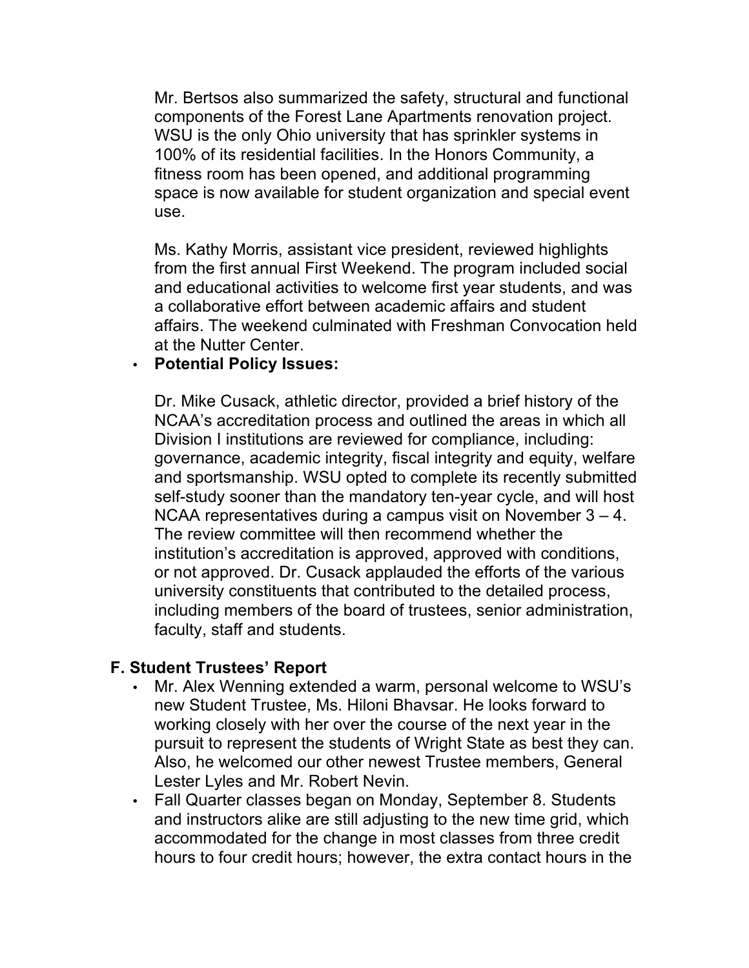Mr. Bertsos also summarized the safety, structural and functional components of the Forest Lane Apartments renovation project. WSU is the only Ohio university that has sprinkler systems in 100% of its residential facilities. In the Honors Community, a space is now available for student organization and special event fitness room has been opened, and additional programming use.

 Ms. Kathy Morris, assistant vice president, reviewed highlights at the Nutter Center. from the first annual First Weekend. The program included social and educational activities to welcome first year students, and was a collaborative effort between academic affairs and student affairs. The weekend culminated with Freshman Convocation held

#### • **Potential Policy Issues:**

 Dr. Mike Cusack, athletic director, provided a brief history of the NCAA's accreditation process and outlined the areas in which all Division I institutions are reviewed for compliance, including: governance, academic integrity, fiscal integrity and equity, welfare and sportsmanship. WSU opted to complete its recently submitted self-study sooner than the mandatory ten-year cycle, and will host NCAA representatives during a campus visit on November 3 – 4. or not approved. Dr. Cusack applauded the efforts of the various The review committee will then recommend whether the institution's accreditation is approved, approved with conditions, university constituents that contributed to the detailed process, including members of the board of trustees, senior administration, faculty, staff and students.

#### **F. Student Trustees' Report**

- • Mr. Alex Wenning extended a warm, personal welcome to WSU's new Student Trustee, Ms. Hiloni Bhavsar. He looks forward to working closely with her over the course of the next year in the pursuit to represent the students of Wright State as best they can. Also, he welcomed our other newest Trustee members, General Lester Lyles and Mr. Robert Nevin.
- • Fall Quarter classes began on Monday, September 8. Students and instructors alike are still adjusting to the new time grid, which accommodated for the change in most classes from three credit hours to four credit hours; however, the extra contact hours in the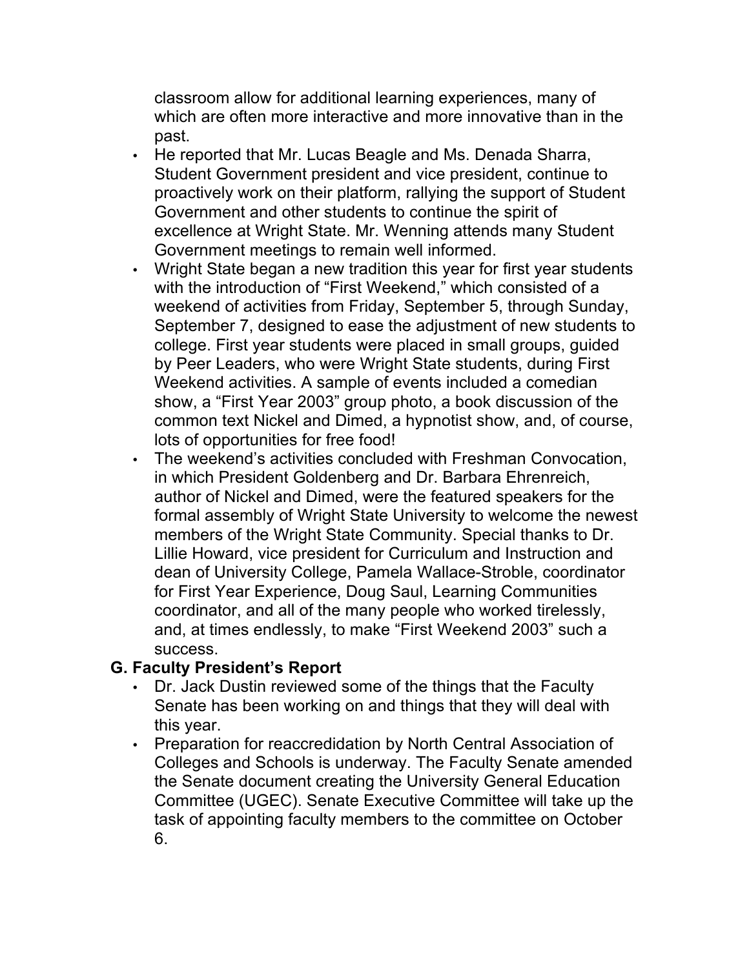classroom allow for additional learning experiences, many of which are often more interactive and more innovative than in the past.

- • He reported that Mr. Lucas Beagle and Ms. Denada Sharra, Student Government president and vice president, continue to proactively work on their platform, rallying the support of Student Government and other students to continue the spirit of Government meetings to remain well informed. excellence at Wright State. Mr. Wenning attends many Student
- • Wright State began a new tradition this year for first year students with the introduction of "First Weekend," which consisted of a weekend of activities from Friday, September 5, through Sunday, September 7, designed to ease the adjustment of new students to college. First year students were placed in small groups, guided by Peer Leaders, who were Wright State students, during First Weekend activities. A sample of events included a comedian show, a "First Year 2003" group photo, a book discussion of the common text Nickel and Dimed, a hypnotist show, and, of course, lots of opportunities for free food!
- author of Nickel and Dimed, were the featured speakers for the members of the Wright State Community. Special thanks to Dr. Lillie Howard, vice president for Curriculum and Instruction and coordinator, and all of the many people who worked tirelessly, and, at times endlessly, to make "First Weekend 2003" such a • The weekend's activities concluded with Freshman Convocation, in which President Goldenberg and Dr. Barbara Ehrenreich, formal assembly of Wright State University to welcome the newest dean of University College, Pamela Wallace-Stroble, coordinator for First Year Experience, Doug Saul, Learning Communities success.

#### **G. Faculty President's Report**

- • Dr. Jack Dustin reviewed some of the things that the Faculty Senate has been working on and things that they will deal with this year.
- Colleges and Schools is underway. The Faculty Senate amended Committee (UGEC). Senate Executive Committee will take up the • Preparation for reaccredidation by North Central Association of the Senate document creating the University General Education task of appointing faculty members to the committee on October 6.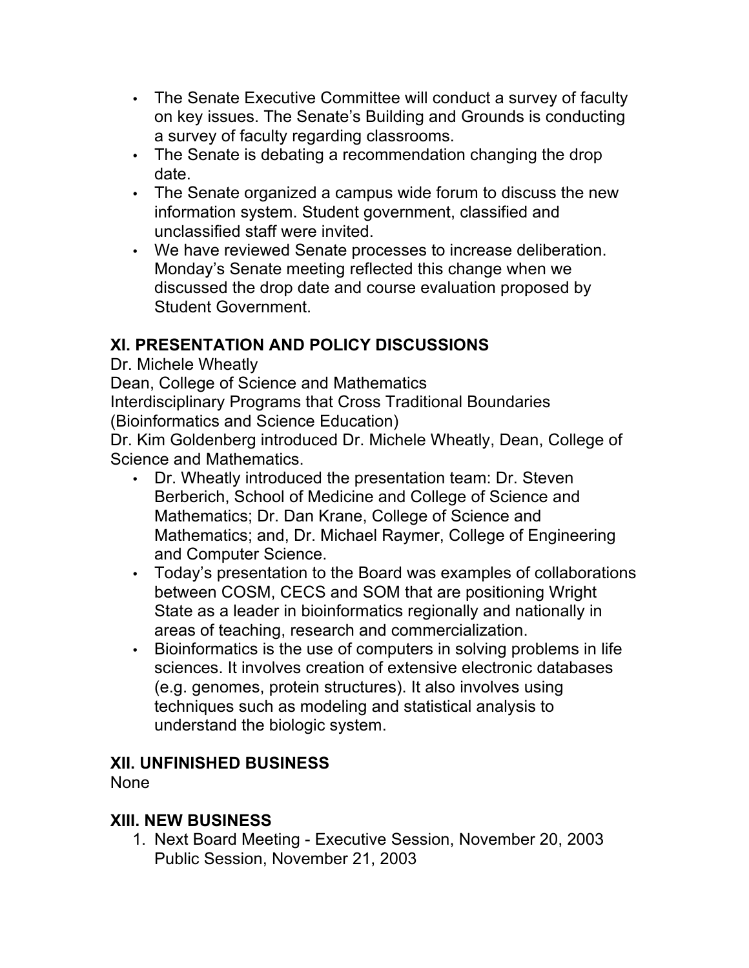- • The Senate Executive Committee will conduct a survey of faculty on key issues. The Senate's Building and Grounds is conducting a survey of faculty regarding classrooms.
- The Senate is debating a recommendation changing the drop date.
- The Senate organized a campus wide forum to discuss the new information system. Student government, classified and unclassified staff were invited.
- • We have reviewed Senate processes to increase deliberation. Monday's Senate meeting reflected this change when we discussed the drop date and course evaluation proposed by Student Government.

### **XI. PRESENTATION AND POLICY DISCUSSIONS**

Dr. Michele Wheatly

Dean, College of Science and Mathematics

Interdisciplinary Programs that Cross Traditional Boundaries (Bioinformatics and Science Education)

 Dr. Kim Goldenberg introduced Dr. Michele Wheatly, Dean, College of Science and Mathematics.

- • Dr. Wheatly introduced the presentation team: Dr. Steven Berberich, School of Medicine and College of Science and Mathematics; Dr. Dan Krane, College of Science and Mathematics; and, Dr. Michael Raymer, College of Engineering and Computer Science.
- between COSM, CECS and SOM that are positioning Wright areas of teaching, research and commercialization. • Today's presentation to the Board was examples of collaborations State as a leader in bioinformatics regionally and nationally in
- • Bioinformatics is the use of computers in solving problems in life sciences. It involves creation of extensive electronic databases (e.g. genomes, protein structures). It also involves using techniques such as modeling and statistical analysis to understand the biologic system.

## **XII. UNFINISHED BUSINESS**

None

### **XIII. NEW BUSINESS**

 1. Next Board Meeting - Executive Session, November 20, 2003 Public Session, November 21, 2003